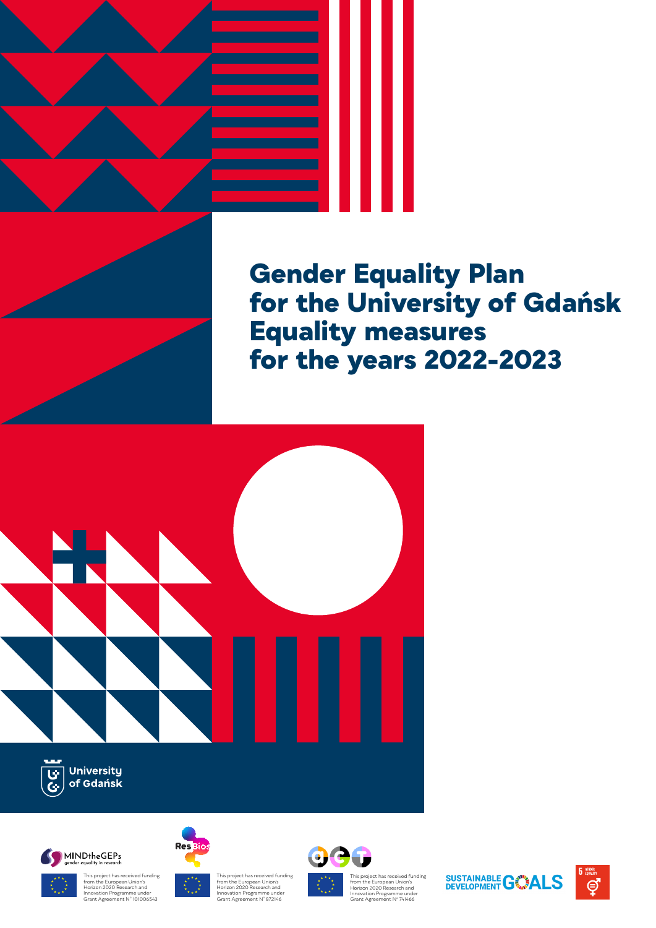

**Gender Equality Plan for the University of Gdańsk Equality measures for the years 2022-2023**









نوياية

This project has received funding<br>from the European Union's<br>Horizon 2020 Research and<br>Innovation Programme under<br>Grant Agreement N° 872146



This project has received funding<br>from the European Union's<br>Horizon 2020 Research and<br>Innovation Programme under<br>Grant Agreement N° 741466

SUSTAINABLE GONALS

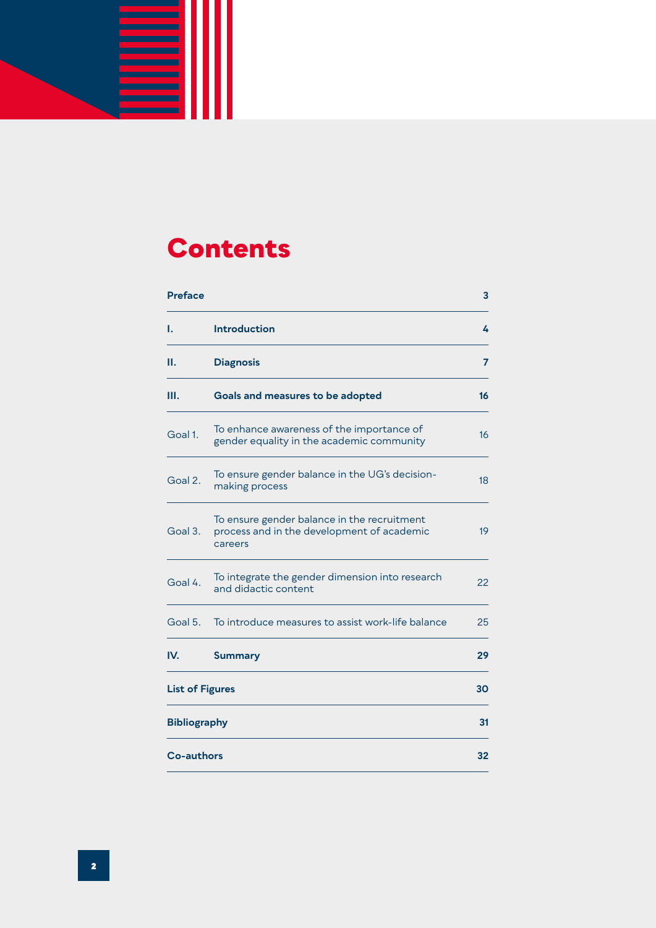## **Contents**

۳ m.

| <b>Preface</b>         |                                                                                                      | 3  |
|------------------------|------------------------------------------------------------------------------------------------------|----|
| ı.                     | <b>Introduction</b>                                                                                  | 4  |
| н.                     | <b>Diagnosis</b>                                                                                     | 7  |
| Ш.                     | Goals and measures to be adopted                                                                     | 16 |
| Goal 1.                | To enhance awareness of the importance of<br>gender equality in the academic community               | 16 |
| Goal 2.                | To ensure gender balance in the UG's decision-<br>making process                                     | 18 |
| Goal 3.                | To ensure gender balance in the recruitment<br>process and in the development of academic<br>careers | 19 |
| Goal 4.                | To integrate the gender dimension into research<br>and didactic content                              | 22 |
| Goal 5.                | To introduce measures to assist work-life balance                                                    | 25 |
| IV.                    | <b>Summary</b>                                                                                       | 29 |
| <b>List of Figures</b> |                                                                                                      | 30 |
| <b>Bibliography</b>    |                                                                                                      | 31 |
| <b>Co-authors</b>      |                                                                                                      | 32 |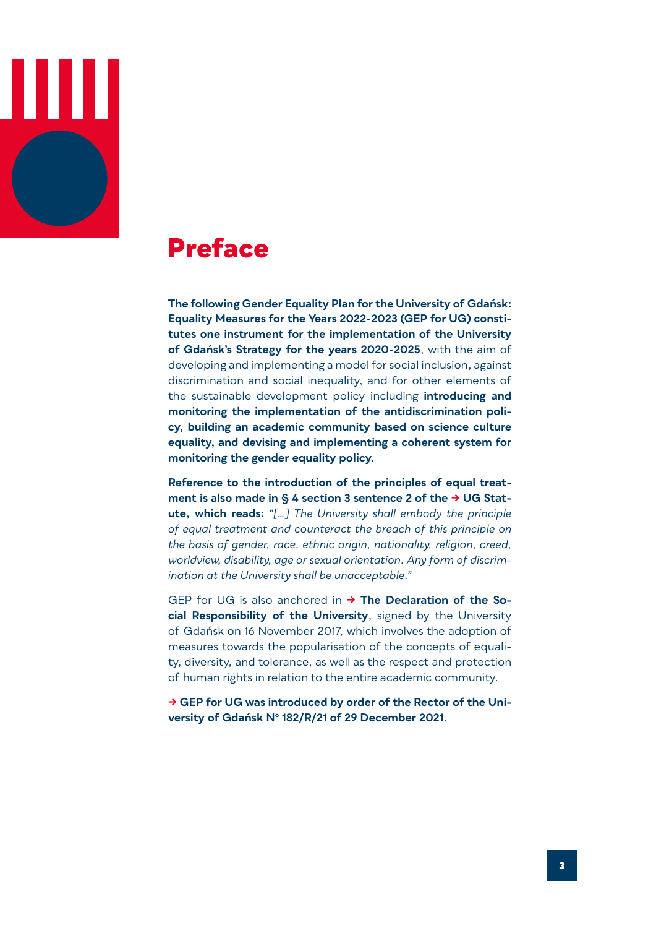

## <span id="page-2-0"></span>**Preface**

**The following Gender Equality Plan for the University of Gdańsk: Equality Measures for the Years 2022-2023 (GEP for UG) constitutes one instrument for the implementation of the University of Gdańsk's Strategy for the years 2020-2025**, with the aim of developing and implementing a model for social inclusion, against discrimination and social inequality, and for other elements of the sustainable development policy including **introducing and monitoring the implementation of the antidiscrimination policy, building an academic community based on science culture equality, and devising and implementing a coherent system for monitoring the gender equality policy.** 

**Reference to the introduction of the principles of equal treatment is also made in § 4 section 3 sentence 2 of the [→ UG Stat](https://bip.ug.edu.pl/sites/default/files/nodes/akty_normatywne/102762/files/01a_tj_statut_iii_2021_od_1_ix_2021_bip.pdf)[ute, which reads:](https://bip.ug.edu.pl/sites/default/files/nodes/akty_normatywne/102762/files/01a_tj_statut_iii_2021_od_1_ix_2021_bip.pdf)** *"[…] The University shall embody the principle of equal treatment and counteract the breach of this principle on the basis of gender, race, ethnic origin, nationality, religion, creed, worldview, disability, age or sexual orientation. Any form of discrimination at the University shall be unacceptable."*

GEP for UG is also anchored in **[→ The Declaration of the So](https://ssl-administracja.sgh.waw.pl/pl/dna/Documents/Deklaracja%20spo%C5%82ecznej%20odpowiedzilnao%C5%9Bci.pdf )[cial Responsibility of the University](https://ssl-administracja.sgh.waw.pl/pl/dna/Documents/Deklaracja%20spo%C5%82ecznej%20odpowiedzilnao%C5%9Bci.pdf )**, signed by the University of Gdańsk on 16 November 2017, which involves the adoption of measures towards the popularisation of the concepts of equality, diversity, and tolerance, as well as the respect and protection of human rights in relation to the entire academic community.

[→ GEP for UG was introduced by order of the Rector of the Uni](https://bip.ug.edu.pl/akty_normatywne/108231/zarzadzenie_nr_182r21_rektora_uniwersytetu_gdanskiego_z_dnia_29_grudnia_2021_roku_w_sprawie_planu_wdrazania_polityki_rownosci_plci_w_uniwersytecie)**versity of Gdańsk No  [182/R/21 of 29 December 2021](https://bip.ug.edu.pl/akty_normatywne/108231/zarzadzenie_nr_182r21_rektora_uniwersytetu_gdanskiego_z_dnia_29_grudnia_2021_roku_w_sprawie_planu_wdrazania_polityki_rownosci_plci_w_uniwersytecie)**.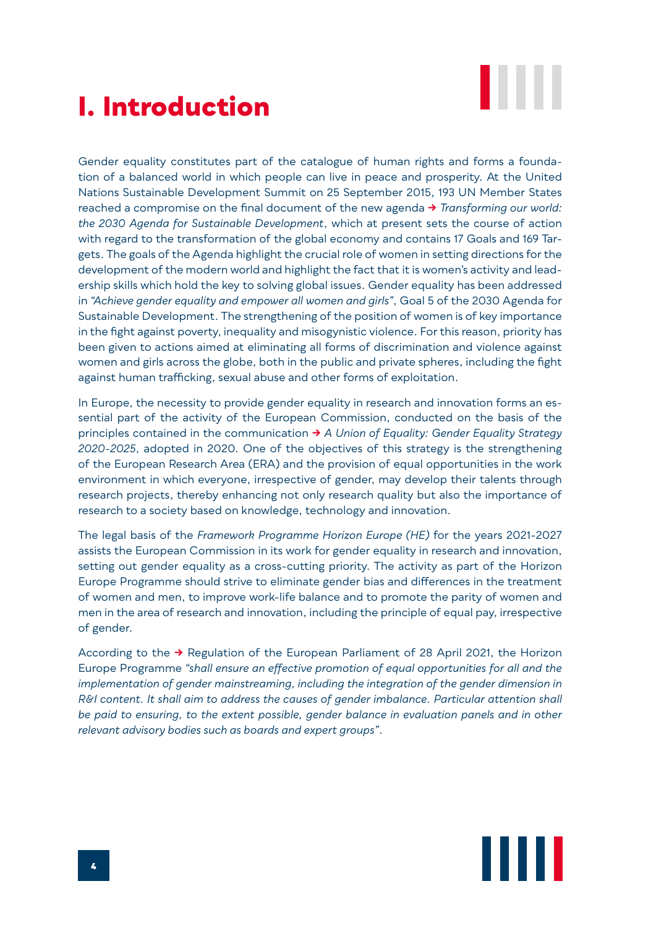## <span id="page-3-0"></span>**I. Introduction**



Gender equality constitutes part of the catalogue of human rights and forms a foundation of a balanced world in which people can live in peace and prosperity. At the United Nations Sustainable Development Summit on 25 September 2015, 193 UN Member States reached a compromise on the final document of the new agenda **→** *[Transforming our world:](https://sdgs.un.org/2030agenda) [the 2030 Agenda for Sustainable Development](https://sdgs.un.org/2030agenda)*, which at present sets the course of action with regard to the transformation of the global economy and contains 17 Goals and 169 Targets. The goals of the Agenda highlight the crucial role of women in setting directions for the development of the modern world and highlight the fact that it is women's activity and leadership skills which hold the key to solving global issues. Gender equality has been addressed in *"Achieve gender equality and empower all women and girls"*, Goal 5 of the 2030 Agenda for Sustainable Development. The strengthening of the position of women is of key importance in the fight against poverty, inequality and misogynistic violence. For this reason, priority has been given to actions aimed at eliminating all forms of discrimination and violence against women and girls across the globe, both in the public and private spheres, including the fight against human trafficking, sexual abuse and other forms of exploitation.

In Europe, the necessity to provide gender equality in research and innovation forms an essential part of the activity of the European Commission, conducted on the basis of the principles contained in the communication **→** *[A Union of Equality: Gender Equality Strategy](https://eur-lex.europa.eu/legal-content/EN/TXT/?uri=CELEX:52020DC0152) [2020-2025](https://eur-lex.europa.eu/legal-content/EN/TXT/?uri=CELEX:52020DC0152)*, adopted in 2020. One of the objectives of this strategy is the strengthening of the European Research Area (ERA) and the provision of equal opportunities in the work environment in which everyone, irrespective of gender, may develop their talents through research projects, thereby enhancing not only research quality but also the importance of research to a society based on knowledge, technology and innovation.

The legal basis of the *Framework Programme Horizon Europe (HE)* for the years 2021-2027 assists the European Commission in its work for gender equality in research and innovation, setting out gender equality as a cross-cutting priority. The activity as part of the Horizon Europe Programme should strive to eliminate gender bias and differences in the treatment of women and men, to improve work-life balance and to promote the parity of women and men in the area of research and innovation, including the principle of equal pay, irrespective of gender.

According to the **→** [Regulation of the European Parliament of 28 April 2021](https://eur-lex.europa.eu/legal-content/EN/TXT/?uri=CELEX:32021R0692), the Horizon Europe Programme *"shall ensure an effective promotion of equal opportunities for all and the*  implementation of gender mainstreaming, including the integration of the gender dimension in *R&I content. It shall aim to address the causes of gender imbalance. Particular attention shall be paid to ensuring, to the extent possible, gender balance in evaluation panels and in other relevant advisory bodies such as boards and expert groups"*.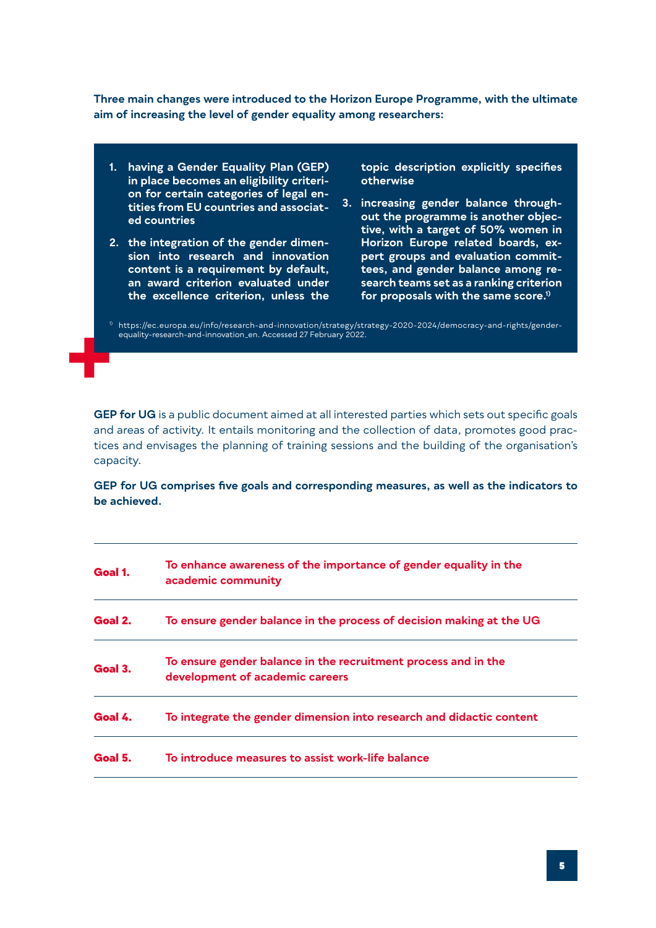**Three main changes were introduced to the Horizon Europe Programme, with the ultimate aim of increasing the level of gender equality among researchers:** 

- **1. having a Gender Equality Plan (GEP) in place becomes an eligibility criterion for certain categories of legal entities from EU countries and associated countries**
- **2. the integration of the gender dimension into research and innovation content is a requirement by default, an award criterion evaluated under the excellence criterion, unless the**

**topic description explicitly specifies otherwise**

**3. increasing gender balance throughout the programme is another objective, with a target of 50% women in Horizon Europe related boards, expert groups and evaluation committees, and gender balance among research teams set as a ranking criterion for proposals with the same score.1)**

1) [https://ec.europa.eu/info/research-and-innovation/strategy/strategy-2020-2024/democracy-and-rights/gender](https://ec.europa.eu/info/research-and-innovation/strategy/strategy-2020-2024/democracy-and-rights/gender-equality-research-and-innovation_en)[equality-research-and-innovation\\_en. Accessed 27 February 2022.](https://ec.europa.eu/info/research-and-innovation/strategy/strategy-2020-2024/democracy-and-rights/gender-equality-research-and-innovation_en)

**GEP for UG** is a public document aimed at all interested parties which sets out specific goals and areas of activity. It entails monitoring and the collection of data, promotes good practices and envisages the planning of training sessions and the building of the organisation's capacity.

**GEP for UG comprises five goals and corresponding measures, as well as the indicators to be achieved.** 

| Goal 1. | To enhance awareness of the importance of gender equality in the<br>academic community            |
|---------|---------------------------------------------------------------------------------------------------|
| Goal 2. | To ensure gender balance in the process of decision making at the UG                              |
| Goal 3. | To ensure gender balance in the recruitment process and in the<br>development of academic careers |
| Goal 4. | To integrate the gender dimension into research and didactic content                              |
| Goal 5. | To introduce measures to assist work-life balance                                                 |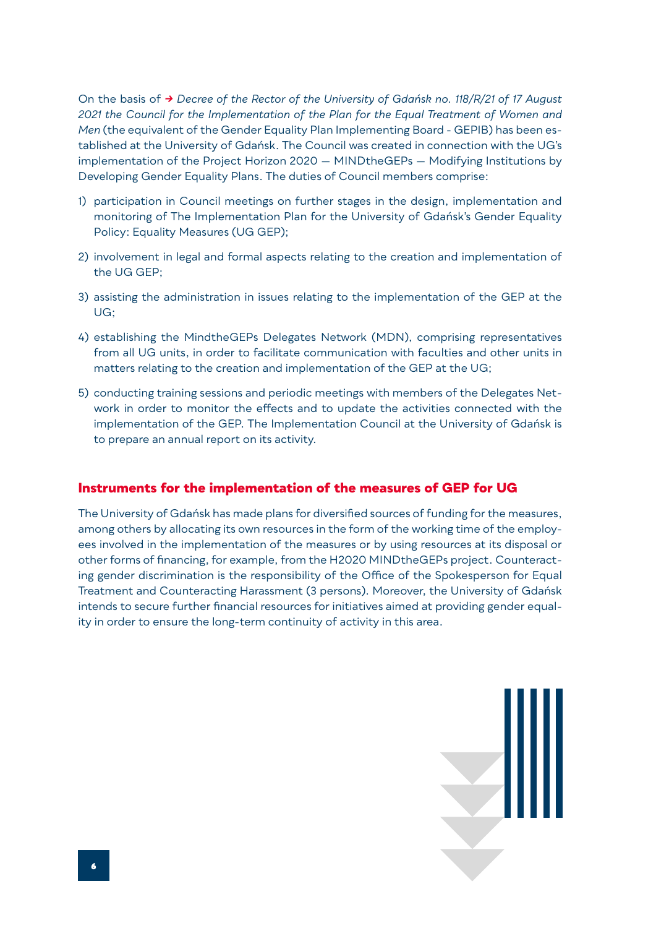On the basis of *→ [Decree of the Rector of the University of Gdańsk no. 118/R/21 of 17 August](https://bip.ug.edu.pl/akty_normatywne/108231/zarzadzenie_nr_182r21_rektora_uniwersytetu_gdanskiego_z_dnia_29_grudnia_2021_roku_w_sprawie_planu_wdrazania_polityki_rownosci_plci_w_uniwersytecie) [2021 the Council for the Implementation of the Plan for the Equal Treatment of Women and](https://bip.ug.edu.pl/akty_normatywne/108231/zarzadzenie_nr_182r21_rektora_uniwersytetu_gdanskiego_z_dnia_29_grudnia_2021_roku_w_sprawie_planu_wdrazania_polityki_rownosci_plci_w_uniwersytecie) [Men](https://bip.ug.edu.pl/akty_normatywne/108231/zarzadzenie_nr_182r21_rektora_uniwersytetu_gdanskiego_z_dnia_29_grudnia_2021_roku_w_sprawie_planu_wdrazania_polityki_rownosci_plci_w_uniwersytecie)* (the equivalent of the Gender Equality Plan Implementing Board - GEPIB) has been established at the University of Gdańsk. The Council was created in connection with the UG's implementation of the Project Horizon 2020 — MINDtheGEPs — Modifying Institutions by Developing Gender Equality Plans. The duties of Council members comprise:

- 1) participation in Council meetings on further stages in the design, implementation and monitoring of The Implementation Plan for the University of Gdańsk's Gender Equality Policy: Equality Measures (UG GEP);
- 2) involvement in legal and formal aspects relating to the creation and implementation of the UG GEP;
- 3) assisting the administration in issues relating to the implementation of the GEP at the UG;
- 4) establishing the MindtheGEPs Delegates Network (MDN), comprising representatives from all UG units, in order to facilitate communication with faculties and other units in matters relating to the creation and implementation of the GEP at the UG;
- 5) conducting training sessions and periodic meetings with members of the Delegates Network in order to monitor the effects and to update the activities connected with the implementation of the GEP. The Implementation Council at the University of Gdańsk is to prepare an annual report on its activity.

#### **Instruments for the implementation of the measures of GEP for UG**

The University of Gdańsk has made plans for diversified sources of funding for the measures, among others by allocating its own resources in the form of the working time of the employees involved in the implementation of the measures or by using resources at its disposal or other forms of financing, for example, from the H2020 MINDtheGEPs project. Counteracting gender discrimination is the responsibility of the Office of the Spokesperson for Equal Treatment and Counteracting Harassment (3 persons). Moreover, the University of Gdańsk intends to secure further financial resources for initiatives aimed at providing gender equality in order to ensure the long-term continuity of activity in this area.

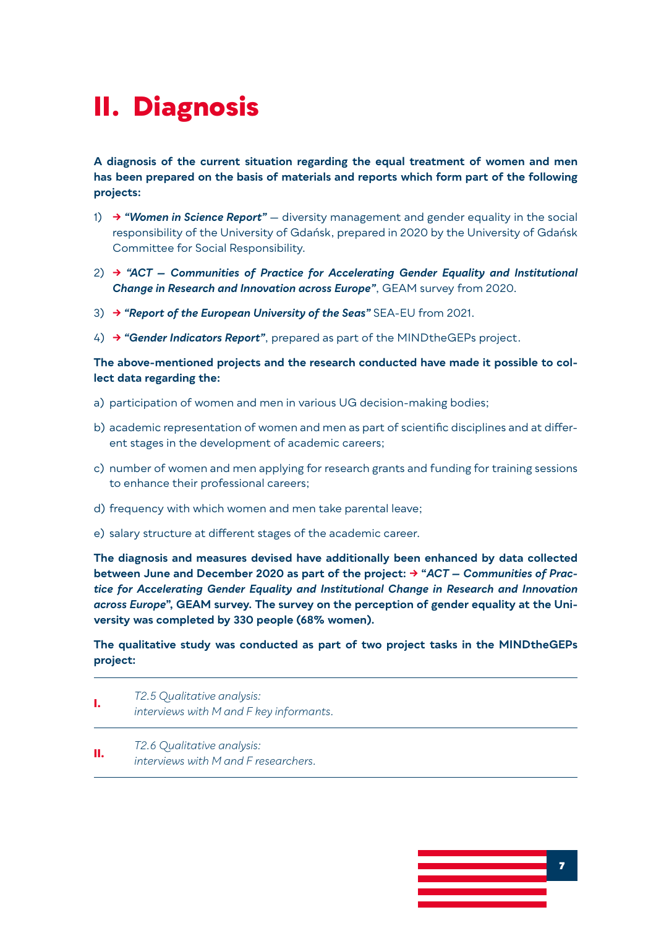## <span id="page-6-0"></span>**II. Diagnosis**

**A diagnosis of the current situation regarding the equal treatment of women and men has been prepared on the basis of materials and reports which form part of the following projects:** 

- 1) **→** *"Women in Science Report"* [diversity management and gender equality in the social](https://ug.edu.pl/sites/default/files/_nodes/strona/101386/files/women_in_science_report_en-to_send.pdf) [responsibility of the University of Gdańsk, prepared in 2020 by the University of Gdańsk](https://ug.edu.pl/sites/default/files/_nodes/strona/101386/files/women_in_science_report_en-to_send.pdf) [Committee for Social Responsibility.](https://ug.edu.pl/sites/default/files/_nodes/strona/101386/files/women_in_science_report_en-to_send.pdf)
- 2) **→** *"ACT  [Communities of Practice for Accelerating Gender Equality and Institutional](https://geam.act-on-gender.eu) [Change in Research and Innovation across Europe"](https://geam.act-on-gender.eu)*, GEAM survey from 2020.
- 3) **→** *["Report of the European University of the Seas"](https://sea-eu.org/wp-content/uploads/2021/10/Gender-Indicator-Report.pdf)* SEA-EU from 2021.
- 4) **→** *"Gender Indicators Report"*[, prepared as part of the MINDtheGEPs project.](https://mindthegeps.eu/about/)

**The above-mentioned projects and the research conducted have made it possible to collect data regarding the:**

- a) participation of women and men in various UG decision-making bodies;
- b) academic representation of women and men as part of scientific disciplines and at different stages in the development of academic careers;
- c) number of women and men applying for research grants and funding for training sessions to enhance their professional careers;
- d) frequency with which women and men take parental leave;
- e) salary structure at different stages of the academic career.

**The diagnosis and measures devised have additionally been enhanced by data collected between June and December 2020 as part of the project: → "***[ACT — Communities of Prac](https://geam.act-on-gender.eu)[tice for Accelerating Gender Equality and Institutional Change in Research and Innovation](https://geam.act-on-gender.eu) [across Europe](https://geam.act-on-gender.eu)***", GEAM survey. The survey on the perception of gender equality at the University was completed by 330 people (68% women).**

**The qualitative study was conducted as part of two project tasks in the MINDtheGEPs project:**

- **I.** *T2.5 Qualitative analysis: interviews with M and F key informants.*
- **II.** *T2.6 Qualitative analysis: interviews with M and F researchers.*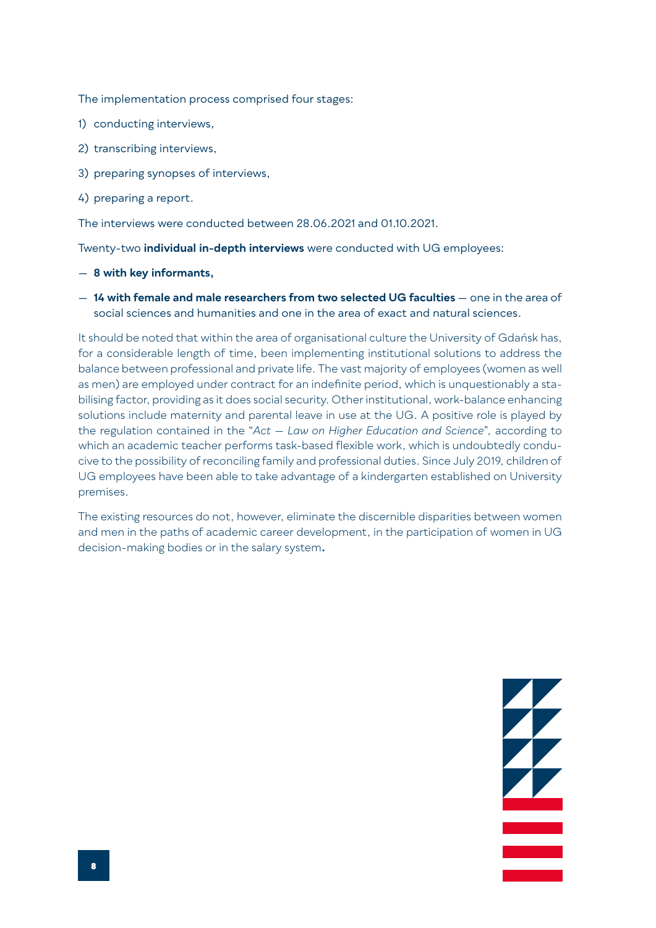The implementation process comprised four stages:

- 1) conducting interviews,
- 2) transcribing interviews,
- 3) preparing synopses of interviews,
- 4) preparing a report.

The interviews were conducted between 28.06.2021 and 01.10.2021.

Twenty-two **individual in-depth interviews** were conducted with UG employees:

- **8 with key informants,**
- **14 with female and male researchers from two selected UG faculties** one in the area of social sciences and humanities and one in the area of exact and natural sciences.

It should be noted that within the area of organisational culture the University of Gdańsk has, for a considerable length of time, been implementing institutional solutions to address the balance between professional and private life. The vast majority of employees (women as well as men) are employed under contract for an indefinite period, which is unquestionably a stabilising factor, providing as it does social security. Other institutional, work-balance enhancing solutions include maternity and parental leave in use at the UG. A positive role is played by the regulation contained in the "*Act — Law on Higher Education and Science*"*,* according to which an academic teacher performs task-based flexible work, which is undoubtedly conducive to the possibility of reconciling family and professional duties. Since July 2019, children of UG employees have been able to take advantage of a kindergarten established on University premises.

The existing resources do not, however, eliminate the discernible disparities between women and men in the paths of academic career development, in the participation of women in UG decision-making bodies or in the salary system**.**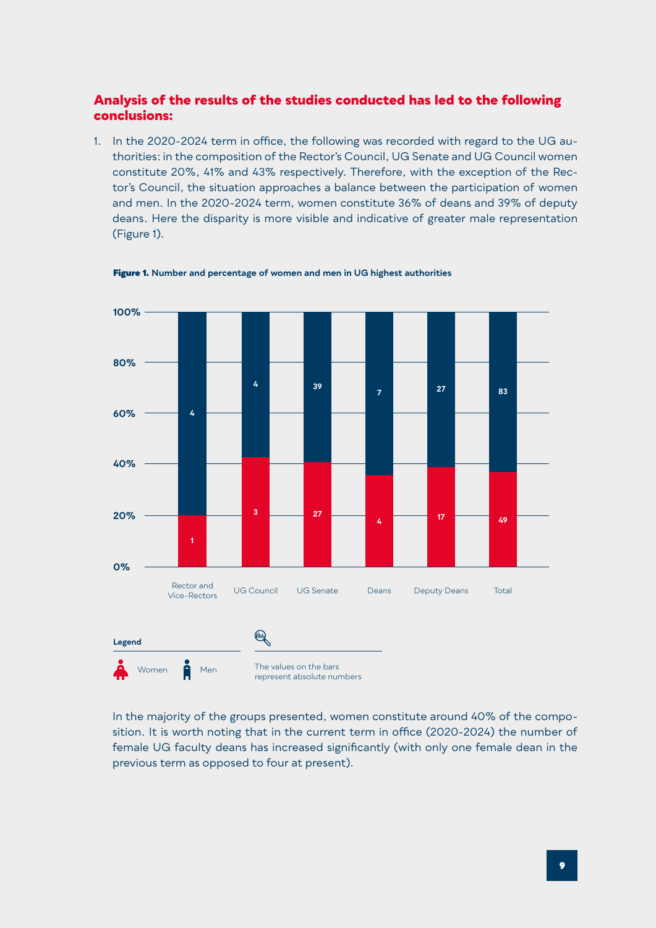#### **Analysis of the results of the studies conducted has led to the following conclusions:**

1. In the 2020-2024 term in office, the following was recorded with regard to the UG authorities: in the composition of the Rector's Council, UG Senate and UG Council women constitute 20%, 41% and 43% respectively. Therefore, with the exception of the Rector's Council, the situation approaches a balance between the participation of women and men. In the 2020-2024 term, women constitute 36% of deans and 39% of deputy deans. Here the disparity is more visible and indicative of greater male representation (Figure 1).



Figure 1. **Number and percentage of women and men in UG highest authorities**

In the majority of the groups presented, women constitute around 40% of the composition. It is worth noting that in the current term in office (2020-2024) the number of female UG faculty deans has increased significantly (with only one female dean in the previous term as opposed to four at present).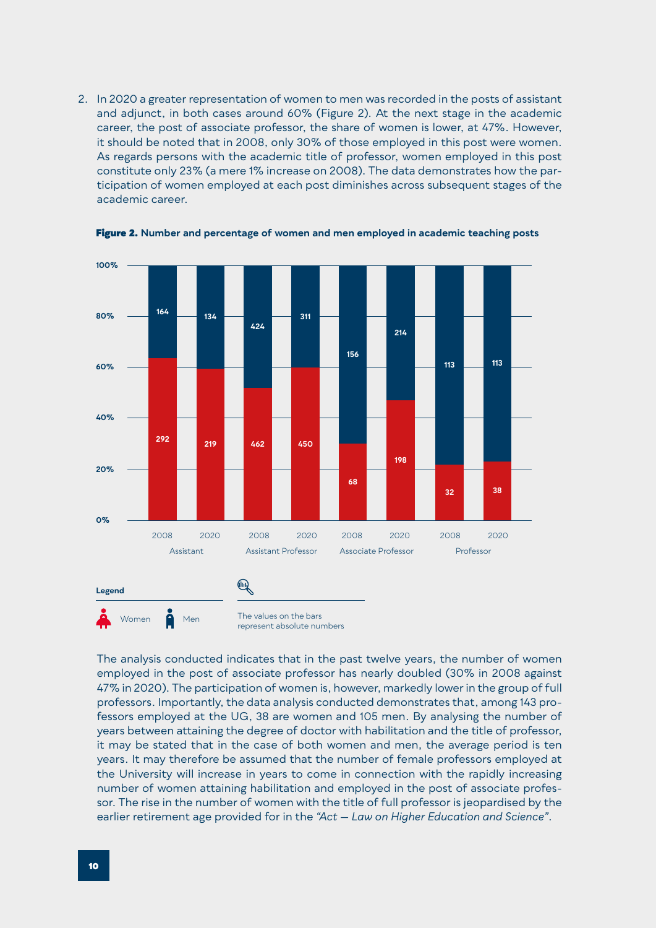2. In 2020 a greater representation of women to men was recorded in the posts of assistant and adjunct, in both cases around 60% (Figure 2). At the next stage in the academic career, the post of associate professor, the share of women is lower, at 47%. However, it should be noted that in 2008, only 30% of those employed in this post were women. As regards persons with the academic title of professor, women employed in this post constitute only 23% (a mere 1% increase on 2008). The data demonstrates how the participation of women employed at each post diminishes across subsequent stages of the academic career.



Figure 2. **Number and percentage of women and men employed in academic teaching posts**



The analysis conducted indicates that in the past twelve years, the number of women employed in the post of associate professor has nearly doubled (30% in 2008 against 47% in 2020). The participation of women is, however, markedly lower in the group of full professors. Importantly, the data analysis conducted demonstrates that, among 143 professors employed at the UG, 38 are women and 105 men. By analysing the number of years between attaining the degree of doctor with habilitation and the title of professor, it may be stated that in the case of both women and men, the average period is ten years. It may therefore be assumed that the number of female professors employed at the University will increase in years to come in connection with the rapidly increasing number of women attaining habilitation and employed in the post of associate professor. The rise in the number of women with the title of full professor is jeopardised by the earlier retirement age provided for in the *"Act — Law on Higher Education and Science"*.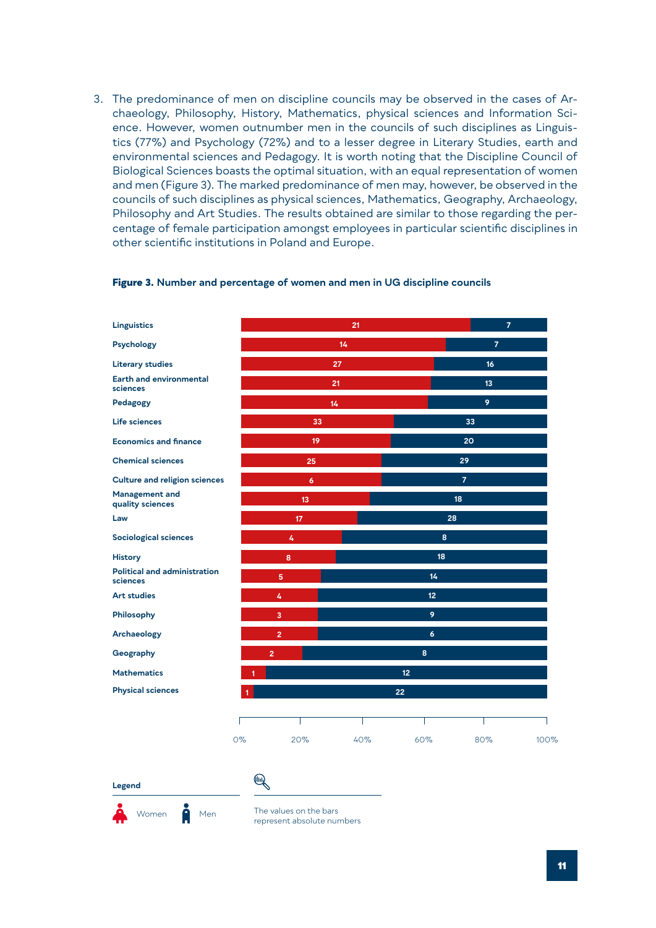3. The predominance of men on discipline councils may be observed in the cases of Archaeology, Philosophy, History, Mathematics, physical sciences and Information Science. However, women outnumber men in the councils of such disciplines as Linguistics (77%) and Psychology (72%) and to a lesser degree in Literary Studies, earth and environmental sciences and Pedagogy. It is worth noting that the Discipline Council of Biological Sciences boasts the optimal situation, with an equal representation of women and men (Figure 3). The marked predominance of men may, however, be observed in the councils of such disciplines as physical sciences, Mathematics, Geography, Archaeology, Philosophy and Art Studies. The results obtained are similar to those regarding the percentage of female participation amongst employees in particular scientific disciplines in other scientific institutions in Poland and Europe.

| <b>Linguistics</b>                              |                | 21 |                  | $\overline{7}$ |
|-------------------------------------------------|----------------|----|------------------|----------------|
| Psychology                                      | 14             |    |                  | $\overline{7}$ |
| <b>Literary studies</b>                         |                | 27 |                  | 16             |
| <b>Earth and environmental</b><br>sciences      |                | 21 |                  | 13             |
| Pedagogy                                        |                | 14 |                  | $\overline{9}$ |
| Life sciences                                   | 33             |    |                  | 33             |
| <b>Economics and finance</b>                    | 19             |    |                  | 20             |
| <b>Chemical sciences</b>                        | 25             |    |                  | 29             |
| <b>Culture and religion sciences</b>            | 6              |    |                  | $\overline{7}$ |
| Management and<br>quality sciences              | 13             |    |                  | 18             |
| Law                                             | 17             |    |                  | 28             |
| <b>Sociological sciences</b>                    | 4              |    | 8                |                |
| <b>History</b>                                  | 8              |    | 18               |                |
| <b>Political and administration</b><br>sciences | 5              |    | 14               |                |
| <b>Art studies</b>                              | 4              |    | 12               |                |
| Philosophy                                      | 3              |    | 9                |                |
| <b>Archaeology</b>                              | $\overline{2}$ |    | $\boldsymbol{6}$ |                |
| Geography                                       | $\overline{2}$ |    | 8                |                |
| <b>Mathematics</b>                              |                |    | 12               |                |
| <b>Physical sciences</b>                        |                |    | 22               |                |
|                                                 |                |    |                  |                |
|                                                 |                |    |                  |                |

#### **Figure 3. Number and percentage of women and men in UG discipline councils**



represent absolute numbers

0% 20% 40% 60% 80% 100%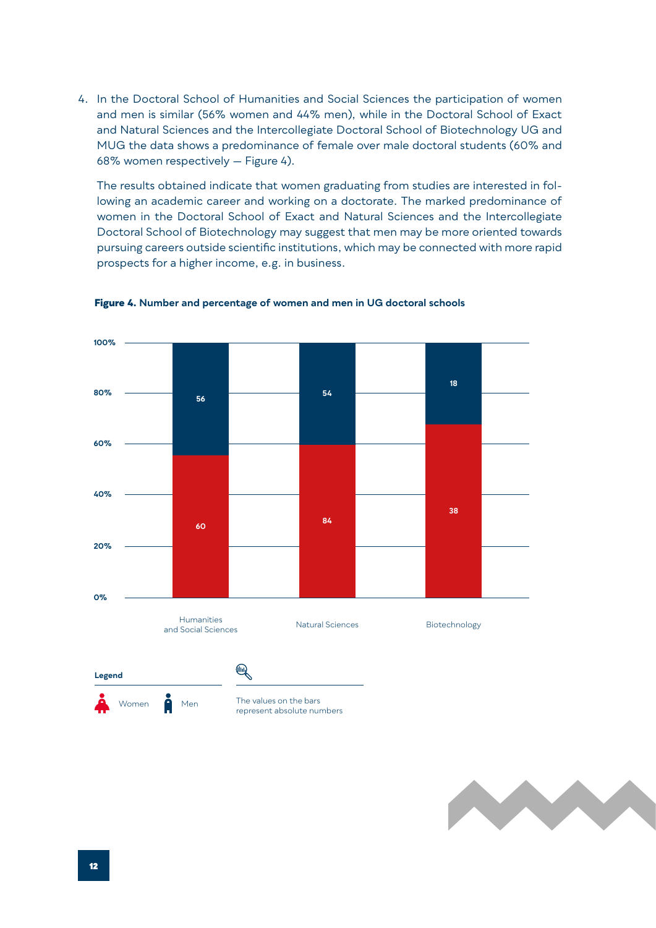4. In the Doctoral School of Humanities and Social Sciences the participation of women and men is similar (56% women and 44% men), while in the Doctoral School of Exact and Natural Sciences and the Intercollegiate Doctoral School of Biotechnology UG and MUG the data shows a predominance of female over male doctoral students (60% and 68% women respectively — Figure 4).

The results obtained indicate that women graduating from studies are interested in following an academic career and working on a doctorate. The marked predominance of women in the Doctoral School of Exact and Natural Sciences and the Intercollegiate Doctoral School of Biotechnology may suggest that men may be more oriented towards pursuing careers outside scientific institutions, which may be connected with more rapid prospects for a higher income, e.g. in business.



#### **Figure 4. Number and percentage of women and men in UG doctoral schools**

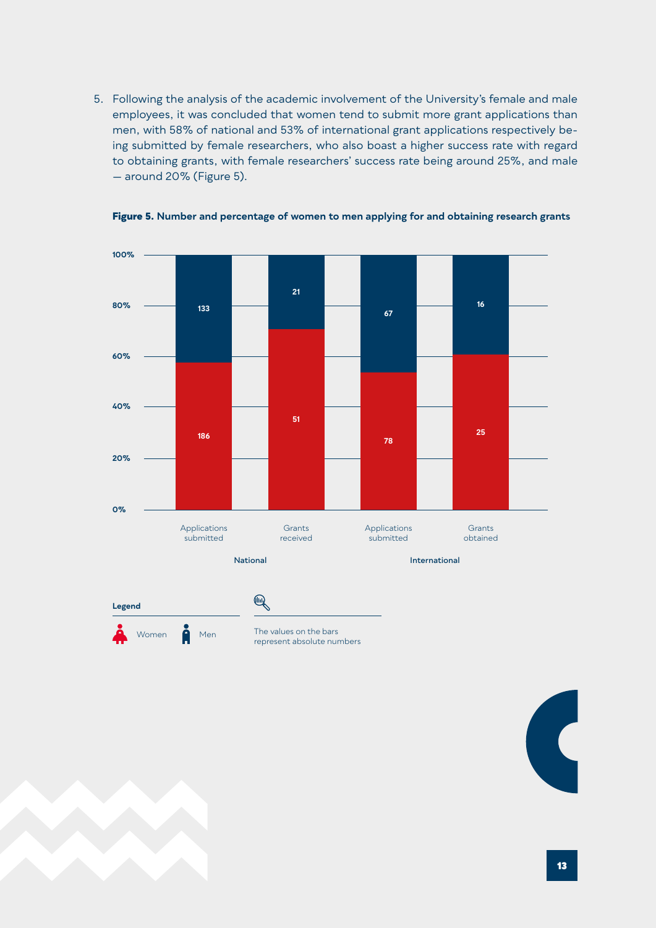5. Following the analysis of the academic involvement of the University's female and male employees, it was concluded that women tend to submit more grant applications than men, with 58% of national and 53% of international grant applications respectively being submitted by female researchers, who also boast a higher success rate with regard to obtaining grants, with female researchers' success rate being around 25%, and male — around 20% (Figure 5).



**Figure 5. Number and percentage of women to men applying for and obtaining research grants**

represent absolute numbers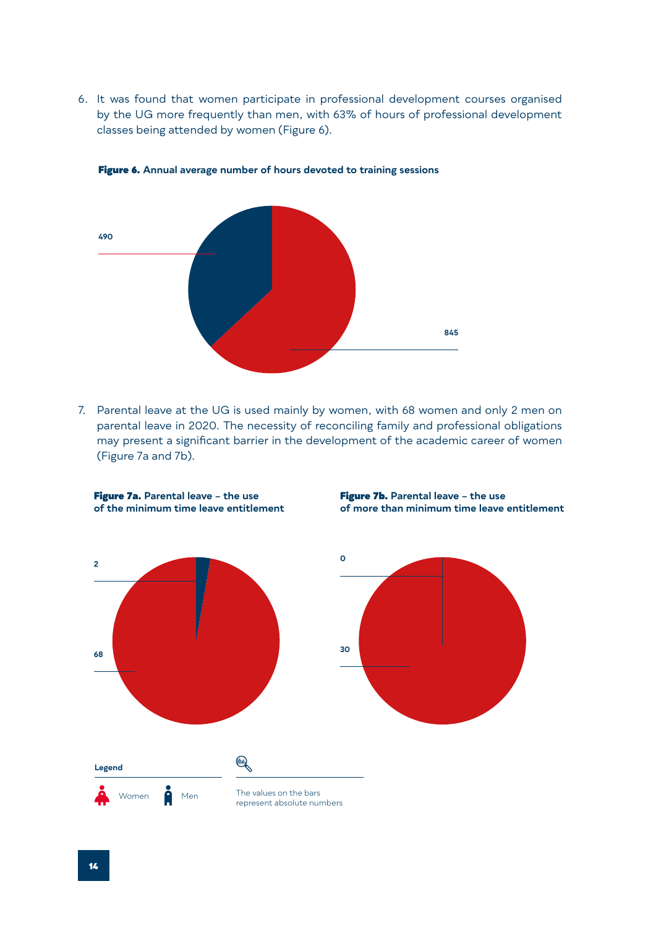6. It was found that women participate in professional development courses organised by the UG more frequently than men, with 63% of hours of professional development classes being attended by women (Figure 6).



Figure 6. **Annual average number of hours devoted to training sessions**

7. Parental leave at the UG is used mainly by women, with 68 women and only 2 men on parental leave in 2020. The necessity of reconciling family and professional obligations may present a significant barrier in the development of the academic career of women (Figure 7a and 7b).

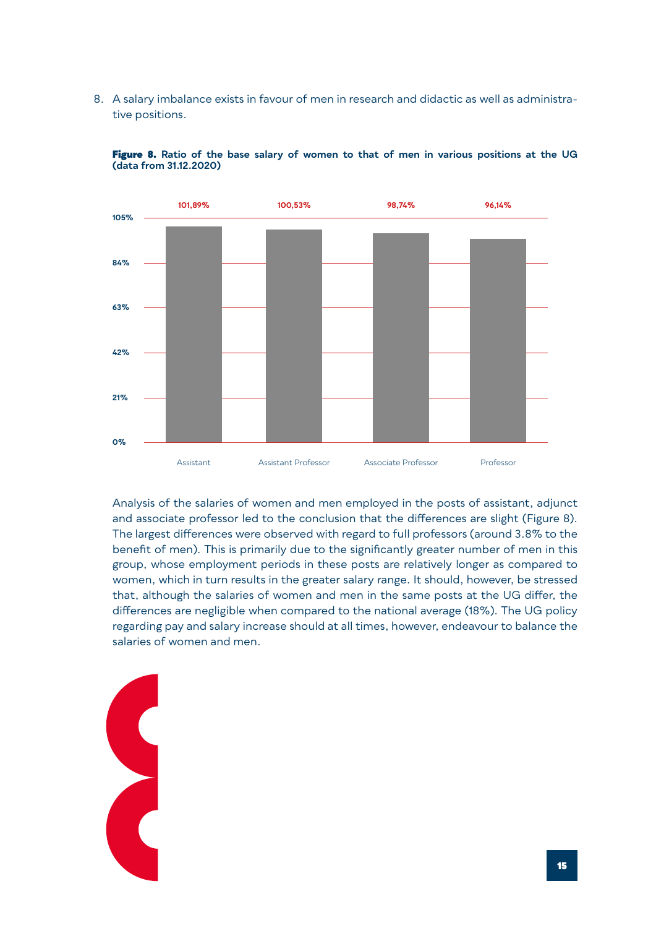8. A salary imbalance exists in favour of men in research and didactic as well as administrative positions.





Analysis of the salaries of women and men employed in the posts of assistant, adjunct and associate professor led to the conclusion that the differences are slight (Figure 8). The largest differences were observed with regard to full professors (around 3.8% to the benefit of men). This is primarily due to the significantly greater number of men in this group, whose employment periods in these posts are relatively longer as compared to women, which in turn results in the greater salary range. It should, however, be stressed that, although the salaries of women and men in the same posts at the UG differ, the differences are negligible when compared to the national average (18%). The UG policy regarding pay and salary increase should at all times, however, endeavour to balance the salaries of women and men.

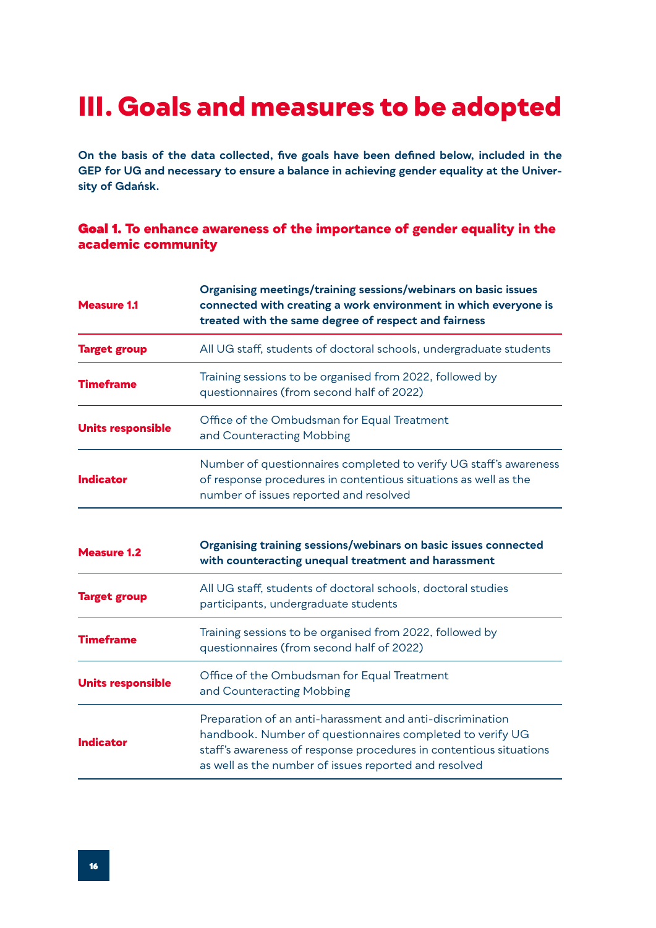## <span id="page-15-0"></span>**III. Goals and measures to be adopted**

**On the basis of the data collected, five goals have been defined below, included in the GEP for UG and necessary to ensure a balance in achieving gender equality at the University of Gdańsk.**

#### Goal 1. **To enhance awareness of the importance of gender equality in the academic community**

| <b>Measure 1.1</b>       | Organising meetings/training sessions/webinars on basic issues<br>connected with creating a work environment in which everyone is<br>treated with the same degree of respect and fairness |
|--------------------------|-------------------------------------------------------------------------------------------------------------------------------------------------------------------------------------------|
| <b>Target group</b>      | All UG staff, students of doctoral schools, undergraduate students                                                                                                                        |
| <b>Timeframe</b>         | Training sessions to be organised from 2022, followed by<br>questionnaires (from second half of 2022)                                                                                     |
| <b>Units responsible</b> | Office of the Ombudsman for Equal Treatment<br>and Counteracting Mobbing                                                                                                                  |
| <b>Indicator</b>         | Number of questionnaires completed to verify UG staff's awareness<br>of response procedures in contentious situations as well as the<br>number of issues reported and resolved            |
|                          |                                                                                                                                                                                           |
| <b>Measure 1.2</b>       | Organising training sessions/webinars on basic issues connected<br>with counteracting unequal treatment and harassment                                                                    |
| <b>Target group</b>      | All UG staff, students of doctoral schools, doctoral studies<br>participants, undergraduate students                                                                                      |
| <b>Timeframe</b>         | Training sessions to be organised from 2022, followed by<br>questionnaires (from second half of 2022)                                                                                     |
| <b>Units responsible</b> | Office of the Ombudsman for Equal Treatment<br>and Counteracting Mobbing                                                                                                                  |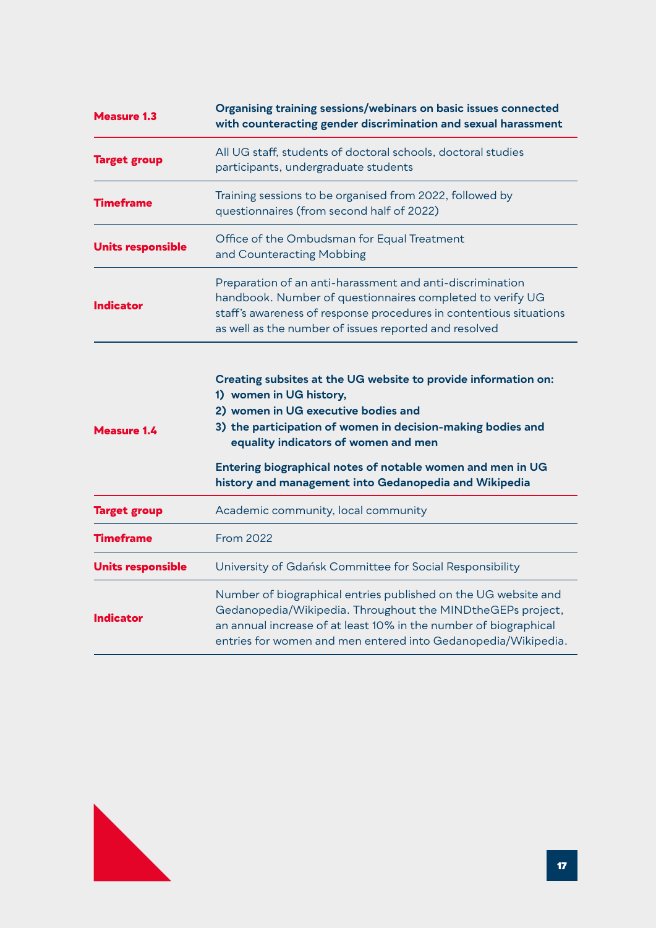| <b>Measure 1.3</b>       | Organising training sessions/webinars on basic issues connected<br>with counteracting gender discrimination and sexual harassment                                                                                                                                 |
|--------------------------|-------------------------------------------------------------------------------------------------------------------------------------------------------------------------------------------------------------------------------------------------------------------|
| <b>Target group</b>      | All UG staff, students of doctoral schools, doctoral studies<br>participants, undergraduate students                                                                                                                                                              |
| <b>Timeframe</b>         | Training sessions to be organised from 2022, followed by<br>questionnaires (from second half of 2022)                                                                                                                                                             |
| <b>Units responsible</b> | Office of the Ombudsman for Equal Treatment<br>and Counteracting Mobbing                                                                                                                                                                                          |
| Indicator                | Preparation of an anti-harassment and anti-discrimination<br>handbook. Number of questionnaires completed to verify UG<br>staff's awareness of response procedures in contentious situations<br>as well as the number of issues reported and resolved             |
| <b>Measure 1.4</b>       | Creating subsites at the UG website to provide information on:<br>1) women in UG history,<br>2) women in UG executive bodies and<br>3) the participation of women in decision-making bodies and<br>equality indicators of women and men                           |
|                          | Entering biographical notes of notable women and men in UG<br>history and management into Gedanopedia and Wikipedia                                                                                                                                               |
| <b>Target group</b>      | Academic community, local community                                                                                                                                                                                                                               |
| <b>Timeframe</b>         | <b>From 2022</b>                                                                                                                                                                                                                                                  |
| <b>Units responsible</b> | University of Gdańsk Committee for Social Responsibility                                                                                                                                                                                                          |
| <b>Indicator</b>         | Number of biographical entries published on the UG website and<br>Gedanopedia/Wikipedia. Throughout the MINDtheGEPs project,<br>an annual increase of at least 10% in the number of biographical<br>entries for women and men entered into Gedanopedia/Wikipedia. |

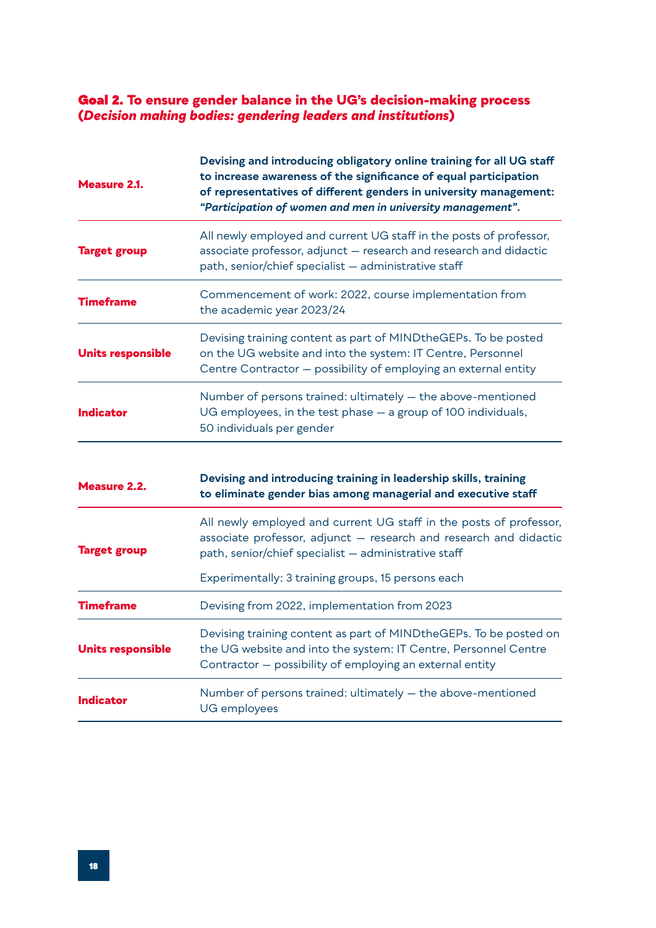#### Goal 2. **To ensure gender balance in the UG's decision-making process (***Decision making bodies: gendering leaders and institutions***)**

| <b>Measure 2.1.</b>      | Devising and introducing obligatory online training for all UG staff<br>to increase awareness of the significance of equal participation<br>of representatives of different genders in university management:<br>"Participation of women and men in university management". |
|--------------------------|-----------------------------------------------------------------------------------------------------------------------------------------------------------------------------------------------------------------------------------------------------------------------------|
| <b>Target group</b>      | All newly employed and current UG staff in the posts of professor,<br>associate professor, adjunct - research and research and didactic<br>path, senior/chief specialist - administrative staff                                                                             |
| <b>Timeframe</b>         | Commencement of work: 2022, course implementation from<br>the academic year 2023/24                                                                                                                                                                                         |
| <b>Units responsible</b> | Devising training content as part of MINDtheGEPs. To be posted<br>on the UG website and into the system: IT Centre, Personnel<br>Centre Contractor - possibility of employing an external entity                                                                            |
| <b>Indicator</b>         | Number of persons trained: ultimately - the above-mentioned<br>UG employees, in the test phase - a group of 100 individuals,<br>50 individuals per gender                                                                                                                   |
| <b>Measure 2.2.</b>      | Devising and introducing training in leadership skills, training<br>to eliminate gender bias among managerial and executive staff                                                                                                                                           |
| <b>Target group</b>      | All newly employed and current UG staff in the posts of professor,<br>associate professor, adjunct - research and research and didactic<br>path, senior/chief specialist - administrative staff                                                                             |
|                          | Experimentally: 3 training groups, 15 persons each                                                                                                                                                                                                                          |
| <b>Timeframe</b>         | Devising from 2022, implementation from 2023                                                                                                                                                                                                                                |
| <b>Units responsible</b> | Devising training content as part of MINDtheGEPs. To be posted on<br>the UG website and into the system: IT Centre, Personnel Centre<br>Contractor - possibility of employing an external entity                                                                            |
| <b>Indicator</b>         | Number of persons trained: ultimately - the above-mentioned<br><b>UG</b> employees                                                                                                                                                                                          |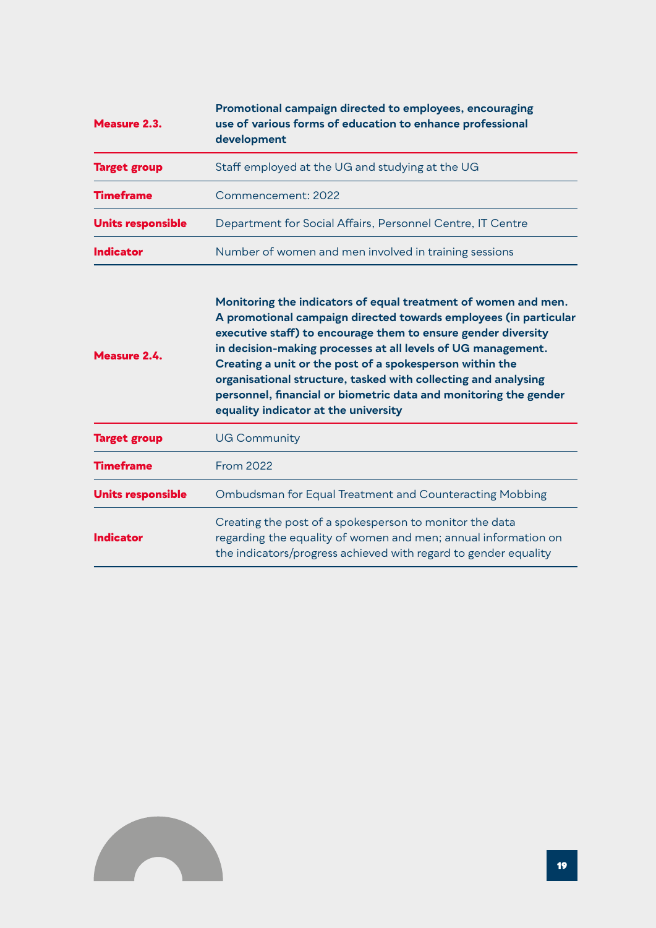| Measure 2.3.             | Promotional campaign directed to employees, encouraging<br>use of various forms of education to enhance professional<br>development |
|--------------------------|-------------------------------------------------------------------------------------------------------------------------------------|
| <b>Target group</b>      | Staff employed at the UG and studying at the UG                                                                                     |
| <b>Timeframe</b>         | Commencement: 2022                                                                                                                  |
| <b>Units responsible</b> | Department for Social Affairs, Personnel Centre, IT Centre                                                                          |
| Indicator                | Number of women and men involved in training sessions                                                                               |

| Measure 2.4.             | Monitoring the indicators of equal treatment of women and men.<br>A promotional campaign directed towards employees (in particular<br>executive staff) to encourage them to ensure gender diversity<br>in decision-making processes at all levels of UG management.<br>Creating a unit or the post of a spokesperson within the<br>organisational structure, tasked with collecting and analysing<br>personnel, financial or biometric data and monitoring the gender<br>equality indicator at the university |
|--------------------------|---------------------------------------------------------------------------------------------------------------------------------------------------------------------------------------------------------------------------------------------------------------------------------------------------------------------------------------------------------------------------------------------------------------------------------------------------------------------------------------------------------------|
| <b>Target group</b>      | <b>UG Community</b>                                                                                                                                                                                                                                                                                                                                                                                                                                                                                           |
| <b>Timeframe</b>         | From 2022                                                                                                                                                                                                                                                                                                                                                                                                                                                                                                     |
| <b>Units responsible</b> | <b>Ombudsman for Equal Treatment and Counteracting Mobbing</b>                                                                                                                                                                                                                                                                                                                                                                                                                                                |
| Indicator                | Creating the post of a spokesperson to monitor the data<br>regarding the equality of women and men; annual information on<br>the indicators/progress achieved with regard to gender equality                                                                                                                                                                                                                                                                                                                  |

<span id="page-18-0"></span>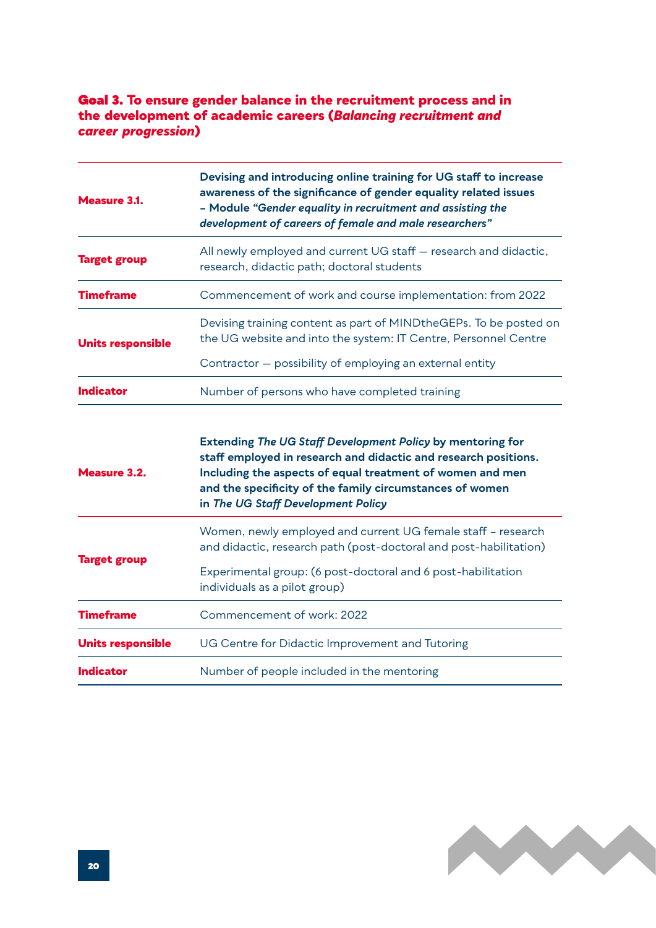#### Goal 3. **To ensure gender balance in the recruitment process and in the development of academic careers (***Balancing recruitment and career progression***)**

| <b>Measure 3.1.</b>      | Devising and introducing online training for UG staff to increase<br>awareness of the significance of gender equality related issues<br>- Module "Gender equality in recruitment and assisting the<br>development of careers of female and male researchers"                                        |
|--------------------------|-----------------------------------------------------------------------------------------------------------------------------------------------------------------------------------------------------------------------------------------------------------------------------------------------------|
| <b>Target group</b>      | All newly employed and current UG staff - research and didactic,<br>research, didactic path; doctoral students                                                                                                                                                                                      |
| <b>Timeframe</b>         | Commencement of work and course implementation: from 2022                                                                                                                                                                                                                                           |
| <b>Units responsible</b> | Devising training content as part of MIND the GEPs. To be posted on<br>the UG website and into the system: IT Centre, Personnel Centre                                                                                                                                                              |
|                          | Contractor - possibility of employing an external entity                                                                                                                                                                                                                                            |
| <b>Indicator</b>         | Number of persons who have completed training                                                                                                                                                                                                                                                       |
| <b>Measure 3.2.</b>      | <b>Extending The UG Staff Development Policy by mentoring for</b><br>staff employed in research and didactic and research positions.<br>Including the aspects of equal treatment of women and men<br>and the specificity of the family circumstances of women<br>in The UG Staff Development Policy |
| <b>Target group</b>      | Women, newly employed and current UG female staff - research<br>and didactic, research path (post-doctoral and post-habilitation)<br>Experimental group: (6 post-doctoral and 6 post-habilitation                                                                                                   |
|                          | individuals as a pilot group)                                                                                                                                                                                                                                                                       |
| <b>Timeframe</b>         | Commencement of work: 2022                                                                                                                                                                                                                                                                          |
| <b>Units responsible</b> | UG Centre for Didactic Improvement and Tutoring                                                                                                                                                                                                                                                     |
| <b>Indicator</b>         | Number of people included in the mentoring                                                                                                                                                                                                                                                          |

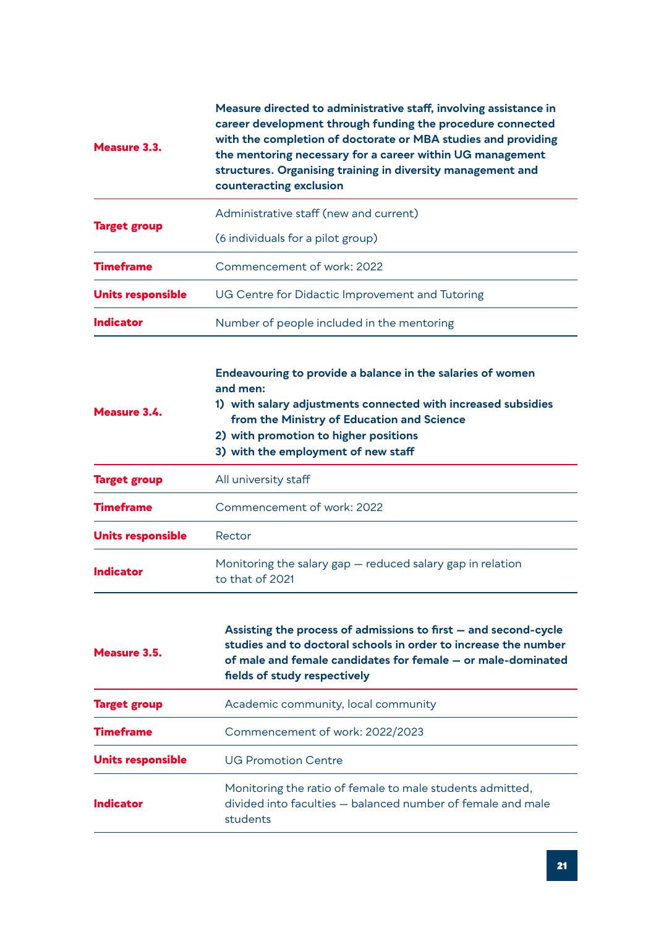| Measure 3.3.             | Measure directed to administrative staff, involving assistance in<br>career development through funding the procedure connected<br>with the completion of doctorate or MBA studies and providing<br>the mentoring necessary for a career within UG management<br>structures. Organising training in diversity management and<br>counteracting exclusion |
|--------------------------|---------------------------------------------------------------------------------------------------------------------------------------------------------------------------------------------------------------------------------------------------------------------------------------------------------------------------------------------------------|
| <b>Target group</b>      | Administrative staff (new and current)                                                                                                                                                                                                                                                                                                                  |
|                          | (6 individuals for a pilot group)                                                                                                                                                                                                                                                                                                                       |
| <b>Timeframe</b>         | Commencement of work: 2022                                                                                                                                                                                                                                                                                                                              |
| <b>Units responsible</b> | UG Centre for Didactic Improvement and Tutoring                                                                                                                                                                                                                                                                                                         |
| Indicator                | Number of people included in the mentoring                                                                                                                                                                                                                                                                                                              |

| All university staff<br><b>Target group</b><br>Commencement of work: 2022<br><b>Timeframe</b><br><b>Units responsible</b><br>Rector<br>Monitoring the salary gap - reduced salary gap in relation<br><b>Indicator</b><br>to that of 2021 | Measure 3.4. | Endeavouring to provide a balance in the salaries of women<br>and men:<br>1) with salary adjustments connected with increased subsidies<br>from the Ministry of Education and Science<br>2) with promotion to higher positions<br>3) with the employment of new staff |
|------------------------------------------------------------------------------------------------------------------------------------------------------------------------------------------------------------------------------------------|--------------|-----------------------------------------------------------------------------------------------------------------------------------------------------------------------------------------------------------------------------------------------------------------------|
|                                                                                                                                                                                                                                          |              |                                                                                                                                                                                                                                                                       |
|                                                                                                                                                                                                                                          |              |                                                                                                                                                                                                                                                                       |
|                                                                                                                                                                                                                                          |              |                                                                                                                                                                                                                                                                       |
|                                                                                                                                                                                                                                          |              |                                                                                                                                                                                                                                                                       |

| Measure 3.5.        | Assisting the process of admissions to first – and second-cycle<br>studies and to doctoral schools in order to increase the number<br>of male and female candidates for female - or male-dominated<br>fields of study respectively |
|---------------------|------------------------------------------------------------------------------------------------------------------------------------------------------------------------------------------------------------------------------------|
| <b>Target group</b> | Academic community, local community                                                                                                                                                                                                |
| <b>Timeframe</b>    | Commencement of work: 2022/2023                                                                                                                                                                                                    |
| Units responsible   | UG Promotion Centre                                                                                                                                                                                                                |
| <b>Indicator</b>    | Monitoring the ratio of female to male students admitted,<br>divided into faculties - balanced number of female and male<br>students                                                                                               |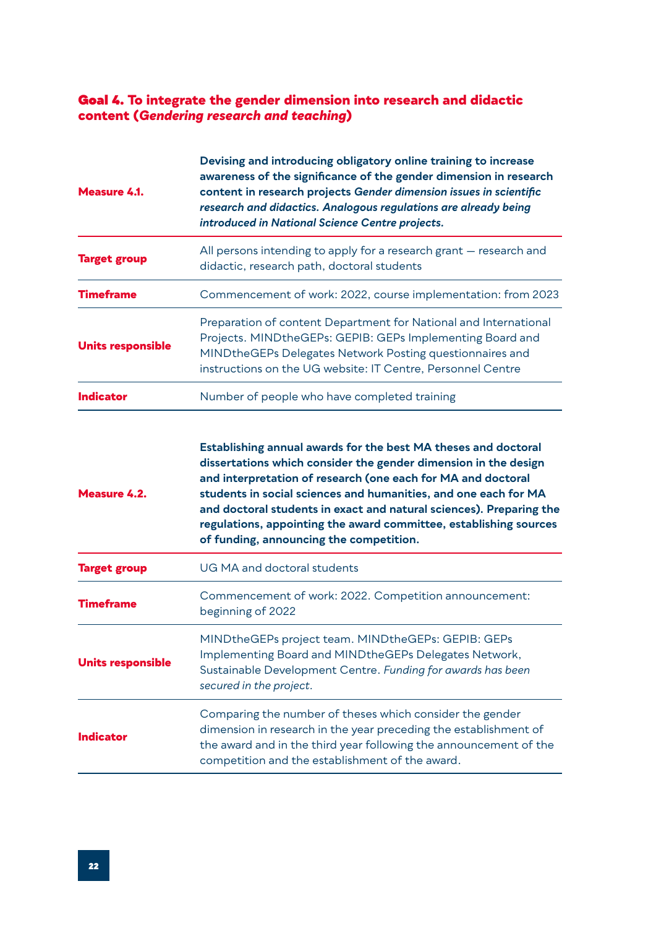### <span id="page-21-0"></span>Goal 4. **To integrate the gender dimension into research and didactic content (***Gendering research and teaching***)**

| <b>Measure 4.1.</b>      | Devising and introducing obligatory online training to increase<br>awareness of the significance of the gender dimension in research<br>content in research projects Gender dimension issues in scientific<br>research and didactics. Analogous regulations are already being<br>introduced in National Science Centre projects.                                                                                                                            |
|--------------------------|-------------------------------------------------------------------------------------------------------------------------------------------------------------------------------------------------------------------------------------------------------------------------------------------------------------------------------------------------------------------------------------------------------------------------------------------------------------|
| <b>Target group</b>      | All persons intending to apply for a research grant – research and<br>didactic, research path, doctoral students                                                                                                                                                                                                                                                                                                                                            |
| <b>Timeframe</b>         | Commencement of work: 2022, course implementation: from 2023                                                                                                                                                                                                                                                                                                                                                                                                |
| <b>Units responsible</b> | Preparation of content Department for National and International<br>Projects. MINDtheGEPs: GEPIB: GEPs Implementing Board and<br>MINDtheGEPs Delegates Network Posting questionnaires and<br>instructions on the UG website: IT Centre, Personnel Centre                                                                                                                                                                                                    |
| <b>Indicator</b>         | Number of people who have completed training                                                                                                                                                                                                                                                                                                                                                                                                                |
|                          |                                                                                                                                                                                                                                                                                                                                                                                                                                                             |
| Measure 4.2.             | Establishing annual awards for the best MA theses and doctoral<br>dissertations which consider the gender dimension in the design<br>and interpretation of research (one each for MA and doctoral<br>students in social sciences and humanities, and one each for MA<br>and doctoral students in exact and natural sciences). Preparing the<br>regulations, appointing the award committee, establishing sources<br>of funding, announcing the competition. |
| <b>Target group</b>      | UG MA and doctoral students                                                                                                                                                                                                                                                                                                                                                                                                                                 |
| <b>Timeframe</b>         | Commencement of work: 2022. Competition announcement:<br>beginning of 2022                                                                                                                                                                                                                                                                                                                                                                                  |
| <b>Units responsible</b> | MINDtheGEPs project team. MINDtheGEPs: GEPIB: GEPs<br>Implementing Board and MINDtheGEPs Delegates Network,<br>Sustainable Development Centre. Funding for awards has been<br>secured in the project.                                                                                                                                                                                                                                                       |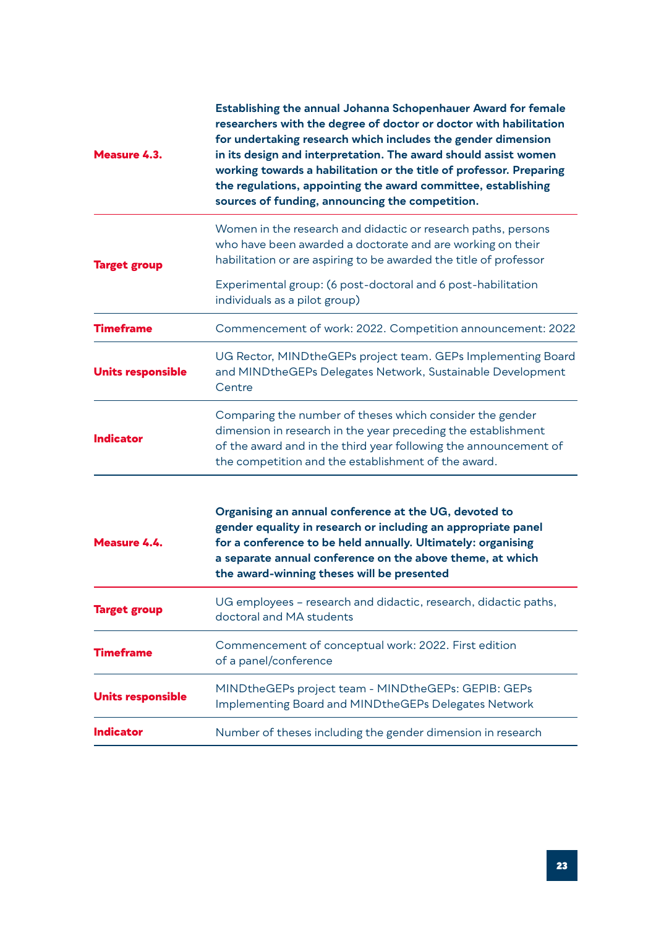| Measure 4.3.             | <b>Establishing the annual Johanna Schopenhauer Award for female</b><br>researchers with the degree of doctor or doctor with habilitation<br>for undertaking research which includes the gender dimension<br>in its design and interpretation. The award should assist women<br>working towards a habilitation or the title of professor. Preparing<br>the regulations, appointing the award committee, establishing<br>sources of funding, announcing the competition. |
|--------------------------|-------------------------------------------------------------------------------------------------------------------------------------------------------------------------------------------------------------------------------------------------------------------------------------------------------------------------------------------------------------------------------------------------------------------------------------------------------------------------|
| <b>Target group</b>      | Women in the research and didactic or research paths, persons<br>who have been awarded a doctorate and are working on their<br>habilitation or are aspiring to be awarded the title of professor                                                                                                                                                                                                                                                                        |
|                          | Experimental group: (6 post-doctoral and 6 post-habilitation<br>individuals as a pilot group)                                                                                                                                                                                                                                                                                                                                                                           |
| <b>Timeframe</b>         | Commencement of work: 2022. Competition announcement: 2022                                                                                                                                                                                                                                                                                                                                                                                                              |
| <b>Units responsible</b> | UG Rector, MINDtheGEPs project team. GEPs Implementing Board<br>and MINDtheGEPs Delegates Network, Sustainable Development<br>Centre                                                                                                                                                                                                                                                                                                                                    |
| Indicator                | Comparing the number of theses which consider the gender<br>dimension in research in the year preceding the establishment<br>of the award and in the third year following the announcement of<br>the competition and the establishment of the award.                                                                                                                                                                                                                    |
| Measure 4.4.             | Organising an annual conference at the UG, devoted to<br>gender equality in research or including an appropriate panel<br>for a conference to be held annually. Ultimately: organising<br>a separate annual conference on the above theme, at which<br>the award-winning theses will be presented                                                                                                                                                                       |
| <b>Target group</b>      | UG employees - research and didactic, research, didactic paths,<br>doctoral and MA students                                                                                                                                                                                                                                                                                                                                                                             |
| <b>Timeframe</b>         | Commencement of conceptual work: 2022. First edition<br>of a panel/conference                                                                                                                                                                                                                                                                                                                                                                                           |
| <b>Units responsible</b> | MINDtheGEPs project team - MINDtheGEPs: GEPIB: GEPs<br>Implementing Board and MINDtheGEPs Delegates Network                                                                                                                                                                                                                                                                                                                                                             |
| <b>Indicator</b>         | Number of theses including the gender dimension in research                                                                                                                                                                                                                                                                                                                                                                                                             |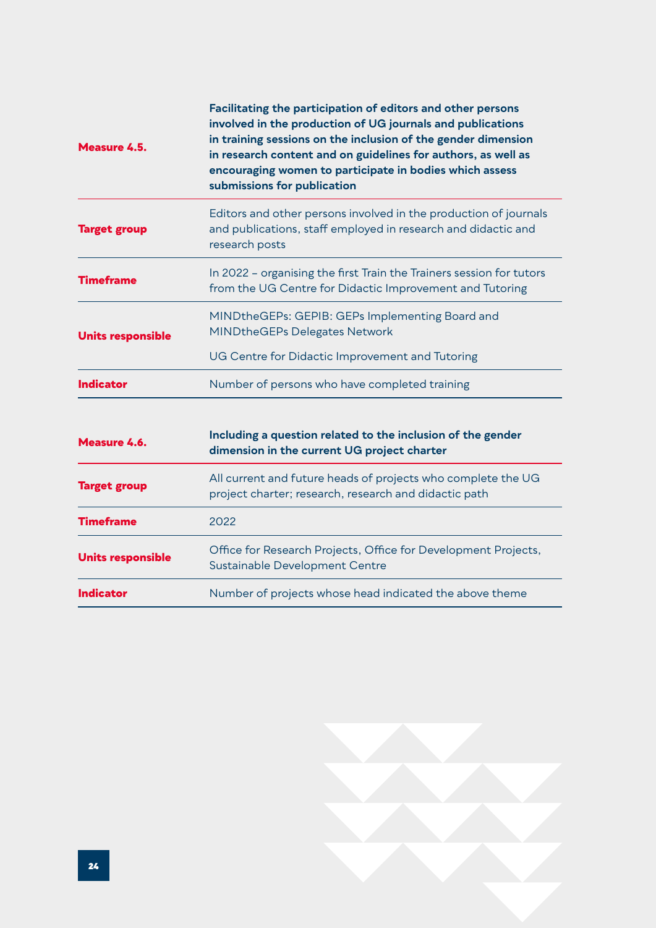| Measure 4.5.             | Facilitating the participation of editors and other persons<br>involved in the production of UG journals and publications<br>in training sessions on the inclusion of the gender dimension<br>in research content and on guidelines for authors, as well as<br>encouraging women to participate in bodies which assess<br>submissions for publication |
|--------------------------|-------------------------------------------------------------------------------------------------------------------------------------------------------------------------------------------------------------------------------------------------------------------------------------------------------------------------------------------------------|
| <b>Target group</b>      | Editors and other persons involved in the production of journals<br>and publications, staff employed in research and didactic and<br>research posts                                                                                                                                                                                                   |
| <b>Timeframe</b>         | In 2022 - organising the first Train the Trainers session for tutors<br>from the UG Centre for Didactic Improvement and Tutoring                                                                                                                                                                                                                      |
| <b>Units responsible</b> | MINDtheGEPs: GEPIB: GEPs Implementing Board and<br><b>MINDtheGEPs Delegates Network</b><br>UG Centre for Didactic Improvement and Tutoring                                                                                                                                                                                                            |
| <b>Indicator</b>         | Number of persons who have completed training                                                                                                                                                                                                                                                                                                         |
| Measure 4.6.             | Including a question related to the inclusion of the gender<br>dimancian in the current $\mathsf{IC}$ nucleat aboutor.                                                                                                                                                                                                                                |

|                          | dimension in the current UG project charter                                                                           |
|--------------------------|-----------------------------------------------------------------------------------------------------------------------|
| <b>Target group</b>      | All current and future heads of projects who complete the UG<br>project charter; research, research and didactic path |
| <b>Timeframe</b>         | 2022                                                                                                                  |
| <b>Units responsible</b> | Office for Research Projects, Office for Development Projects,<br>Sustainable Development Centre                      |
| Indicator                | Number of projects whose head indicated the above theme                                                               |

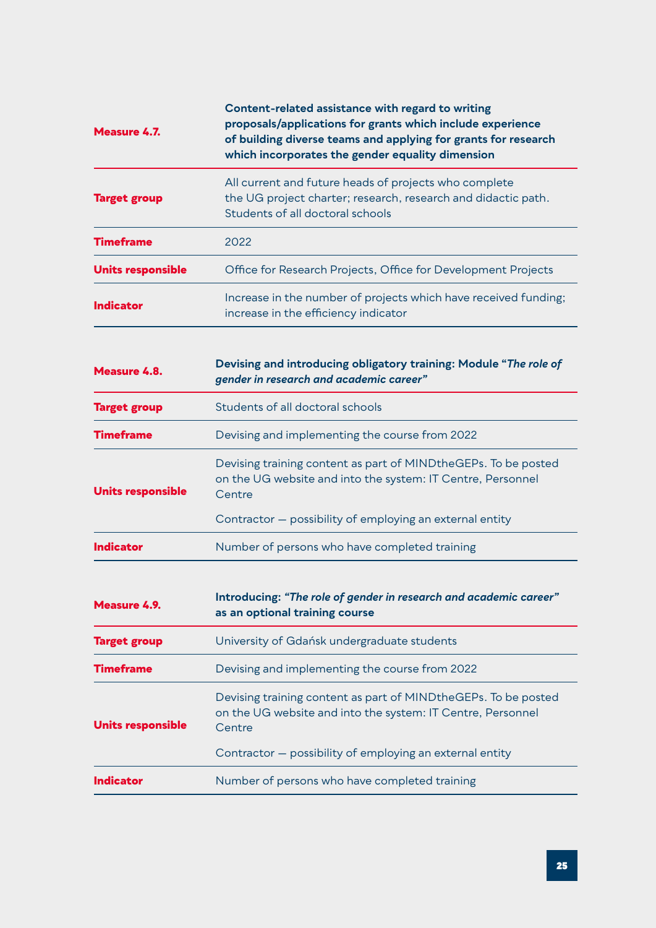| <b>Measure 4.7.</b>      | Content-related assistance with regard to writing<br>proposals/applications for grants which include experience<br>of building diverse teams and applying for grants for research<br>which incorporates the gender equality dimension |
|--------------------------|---------------------------------------------------------------------------------------------------------------------------------------------------------------------------------------------------------------------------------------|
| <b>Target group</b>      | All current and future heads of projects who complete<br>the UG project charter; research, research and didactic path.<br>Students of all doctoral schools                                                                            |
| <b>Timeframe</b>         | 2022                                                                                                                                                                                                                                  |
| <b>Units responsible</b> | Office for Research Projects, Office for Development Projects                                                                                                                                                                         |
| <b>Indicator</b>         | Increase in the number of projects which have received funding;<br>increase in the efficiency indicator                                                                                                                               |
| <b>Measure 4.8.</b>      | Devising and introducing obligatory training: Module "The role of<br>gender in research and academic career"                                                                                                                          |
| <b>Target group</b>      | Students of all doctoral schools                                                                                                                                                                                                      |
| <b>Timeframe</b>         | Devising and implementing the course from 2022                                                                                                                                                                                        |
| <b>Units responsible</b> | Devising training content as part of MINDtheGEPs. To be posted<br>on the UG website and into the system: IT Centre, Personnel<br>Centre                                                                                               |
|                          | Contractor - possibility of employing an external entity                                                                                                                                                                              |
| <b>Indicator</b>         | Number of persons who have completed training                                                                                                                                                                                         |
| <b>Measure 4.9.</b>      | Introducing: "The role of gender in research and academic career"<br>as an optional training course                                                                                                                                   |
| <b>Target group</b>      | University of Gdańsk undergraduate students                                                                                                                                                                                           |
| <b>Timeframe</b>         | Devising and implementing the course from 2022                                                                                                                                                                                        |
| <b>Units responsible</b> | Devising training content as part of MINDtheGEPs. To be posted<br>on the UG website and into the system: IT Centre, Personnel<br>Centre                                                                                               |
|                          | Contractor – possibility of employing an external entity                                                                                                                                                                              |
| <b>Indicator</b>         | Number of persons who have completed training                                                                                                                                                                                         |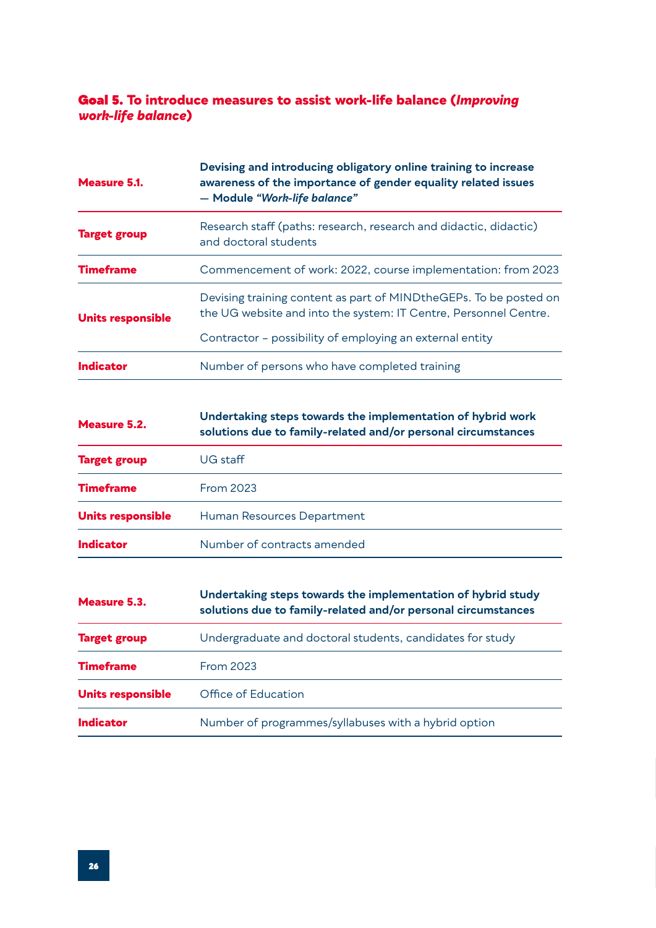### Goal 5. **To introduce measures to assist work-life balance (***Improving work-life balance***)**

| <b>Measure 5.1.</b>      | Devising and introducing obligatory online training to increase<br>awareness of the importance of gender equality related issues<br>- Module "Work-life balance" |
|--------------------------|------------------------------------------------------------------------------------------------------------------------------------------------------------------|
| <b>Target group</b>      | Research staff (paths: research, research and didactic, didactic)<br>and doctoral students                                                                       |
| <b>Timeframe</b>         | Commencement of work: 2022, course implementation: from 2023                                                                                                     |
| <b>Units responsible</b> | Devising training content as part of MIND the GEPs. To be posted on<br>the UG website and into the system: IT Centre, Personnel Centre.                          |
|                          | Contractor - possibility of employing an external entity                                                                                                         |
| <b>Indicator</b>         | Number of persons who have completed training                                                                                                                    |

| Measure 5.2.             | Undertaking steps towards the implementation of hybrid work<br>solutions due to family-related and/or personal circumstances |
|--------------------------|------------------------------------------------------------------------------------------------------------------------------|
| <b>Target group</b>      | $UG$ staff                                                                                                                   |
| <b>Timeframe</b>         | <b>From 2023</b>                                                                                                             |
| <b>Units responsible</b> | Human Resources Department                                                                                                   |
| <b>Indicator</b>         | Number of contracts amended                                                                                                  |

| Measure 5.3.             | Undertaking steps towards the implementation of hybrid study<br>solutions due to family-related and/or personal circumstances |
|--------------------------|-------------------------------------------------------------------------------------------------------------------------------|
| <b>Target group</b>      | Undergraduate and doctoral students, candidates for study                                                                     |
| <b>Timeframe</b>         | <b>From 2023</b>                                                                                                              |
| <b>Units responsible</b> | Office of Education                                                                                                           |
| <b>Indicator</b>         | Number of programmes/syllabuses with a hybrid option                                                                          |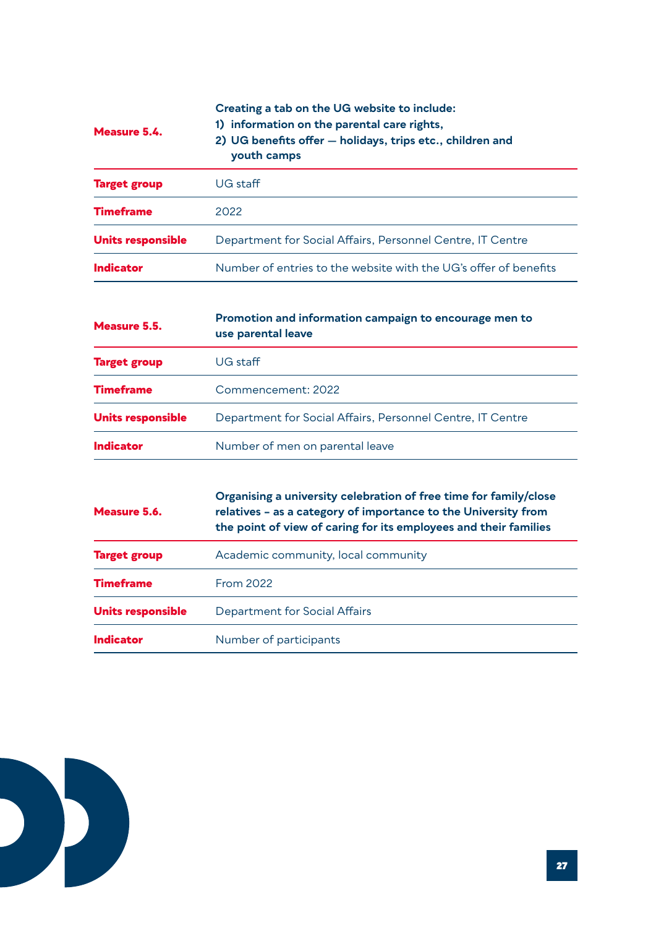| Measure 5.4.             | Creating a tab on the UG website to include:<br>1) information on the parental care rights,<br>2) UG benefits offer - holidays, trips etc., children and<br>youth camps |
|--------------------------|-------------------------------------------------------------------------------------------------------------------------------------------------------------------------|
| <b>Target group</b>      | $UG$ staff                                                                                                                                                              |
| <b>Timeframe</b>         | 2022                                                                                                                                                                    |
| <b>Units responsible</b> | Department for Social Affairs, Personnel Centre, IT Centre                                                                                                              |
| Indicator                | Number of entries to the website with the UG's offer of benefits                                                                                                        |

| Measure 5.5.             | Promotion and information campaign to encourage men to<br>use parental leave |
|--------------------------|------------------------------------------------------------------------------|
| <b>Target group</b>      | UG staff                                                                     |
| <b>Timeframe</b>         | Commencement: 2022                                                           |
| <b>Units responsible</b> | Department for Social Affairs, Personnel Centre, IT Centre                   |
| <b>Indicator</b>         | Number of men on parental leave                                              |

| Measure 5.6.             | Organising a university celebration of free time for family/close<br>relatives - as a category of importance to the University from<br>the point of view of caring for its employees and their families |
|--------------------------|---------------------------------------------------------------------------------------------------------------------------------------------------------------------------------------------------------|
| <b>Target group</b>      | Academic community, local community                                                                                                                                                                     |
| <b>Timeframe</b>         | From 2022                                                                                                                                                                                               |
| <b>Units responsible</b> | Department for Social Affairs                                                                                                                                                                           |
| <b>Indicator</b>         | Number of participants                                                                                                                                                                                  |

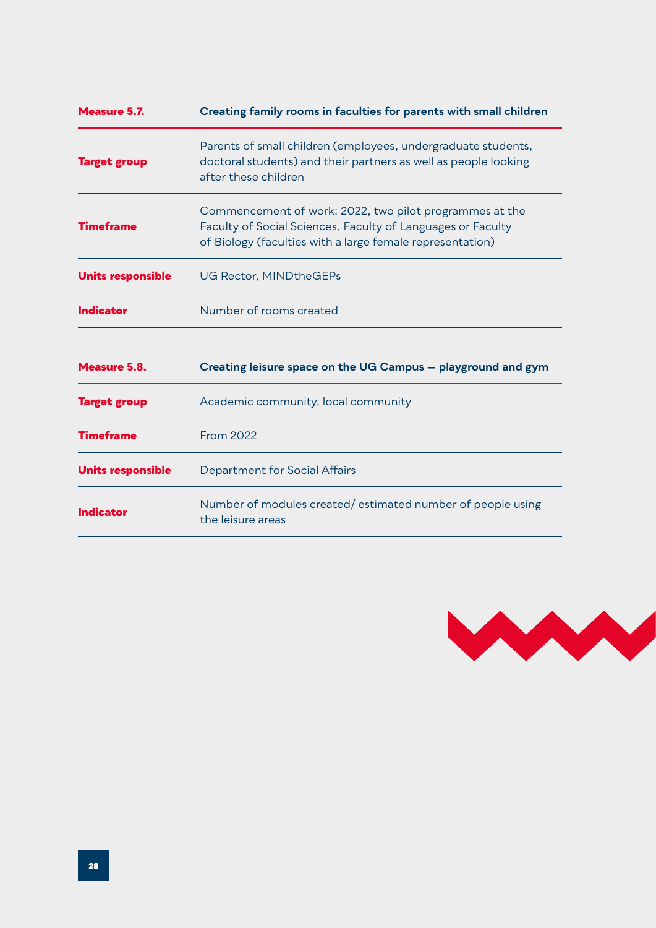| <b>Measure 5.7.</b>      | Creating family rooms in faculties for parents with small children                                                                                                                  |
|--------------------------|-------------------------------------------------------------------------------------------------------------------------------------------------------------------------------------|
| <b>Target group</b>      | Parents of small children (employees, undergraduate students,<br>doctoral students) and their partners as well as people looking<br>after these children                            |
| <b>Timeframe</b>         | Commencement of work: 2022, two pilot programmes at the<br>Faculty of Social Sciences, Faculty of Languages or Faculty<br>of Biology (faculties with a large female representation) |
| <b>Units responsible</b> | <b>UG Rector, MINDtheGEPs</b>                                                                                                                                                       |
| Indicator                | Number of rooms created                                                                                                                                                             |
| Measure 5.8.             | Creating leisure space on the UG Campus - playground and gym                                                                                                                        |
| <b>Target group</b>      | Academic community, local community                                                                                                                                                 |
| <b>Timeframe</b>         | <b>From 2022</b>                                                                                                                                                                    |
| <b>Units responsible</b> | <b>Department for Social Affairs</b>                                                                                                                                                |
| Indicator                | Number of modules created/estimated number of people using<br>the leisure areas                                                                                                     |

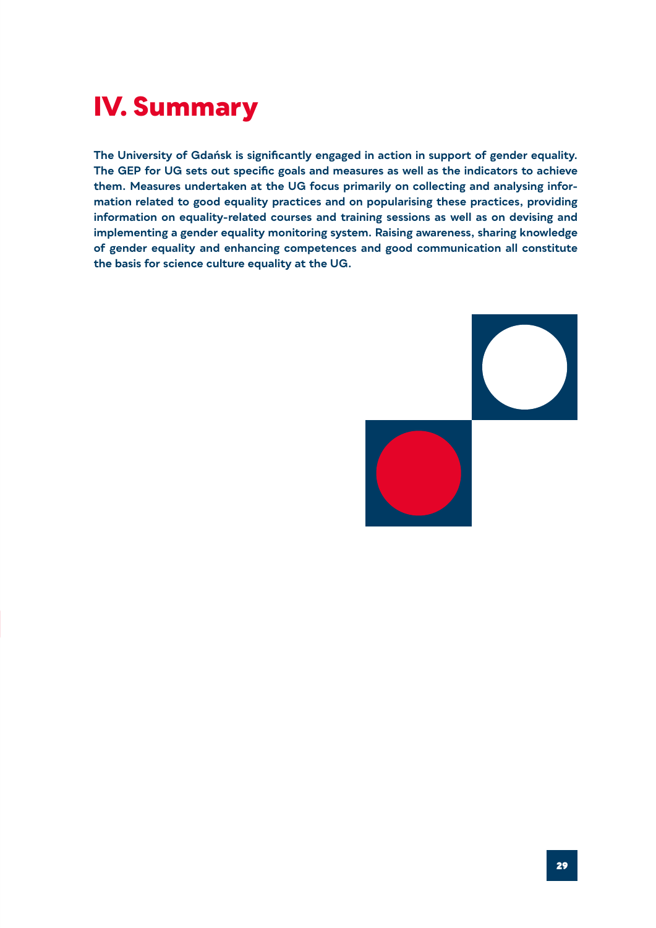# <span id="page-28-0"></span>**IV. Summary**

**The University of Gdańsk is significantly engaged in action in support of gender equality. The GEP for UG sets out specific goals and measures as well as the indicators to achieve them. Measures undertaken at the UG focus primarily on collecting and analysing information related to good equality practices and on popularising these practices, providing information on equality-related courses and training sessions as well as on devising and implementing a gender equality monitoring system. Raising awareness, sharing knowledge of gender equality and enhancing competences and good communication all constitute the basis for science culture equality at the UG.**

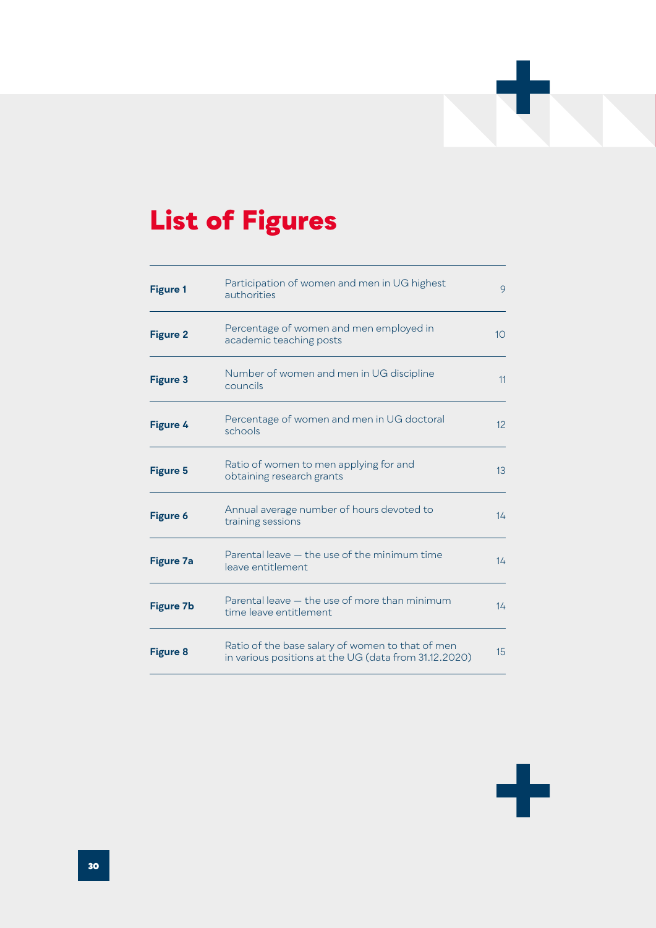

# **List of Figures**

| <b>Figure 1</b>  | Participation of women and men in UG highest<br>authorities                                               | 9               |
|------------------|-----------------------------------------------------------------------------------------------------------|-----------------|
| <b>Figure 2</b>  | Percentage of women and men employed in<br>academic teaching posts                                        | 10 <sup>°</sup> |
| <b>Figure 3</b>  | Number of women and men in UG discipline<br>councils                                                      | 11              |
| Figure 4         | Percentage of women and men in UG doctoral<br>schools                                                     | 12              |
| <b>Figure 5</b>  | Ratio of women to men applying for and<br>obtaining research grants                                       | 13              |
| <b>Figure 6</b>  | Annual average number of hours devoted to<br>training sessions                                            | 14              |
| <b>Figure 7a</b> | Parental leave - the use of the minimum time<br>leave entitlement                                         | 14              |
| <b>Figure 7b</b> | Parental leave – the use of more than minimum<br>time leave entitlement                                   | $14^{\circ}$    |
| <b>Figure 8</b>  | Ratio of the base salary of women to that of men<br>in various positions at the UG (data from 31.12.2020) | 15              |

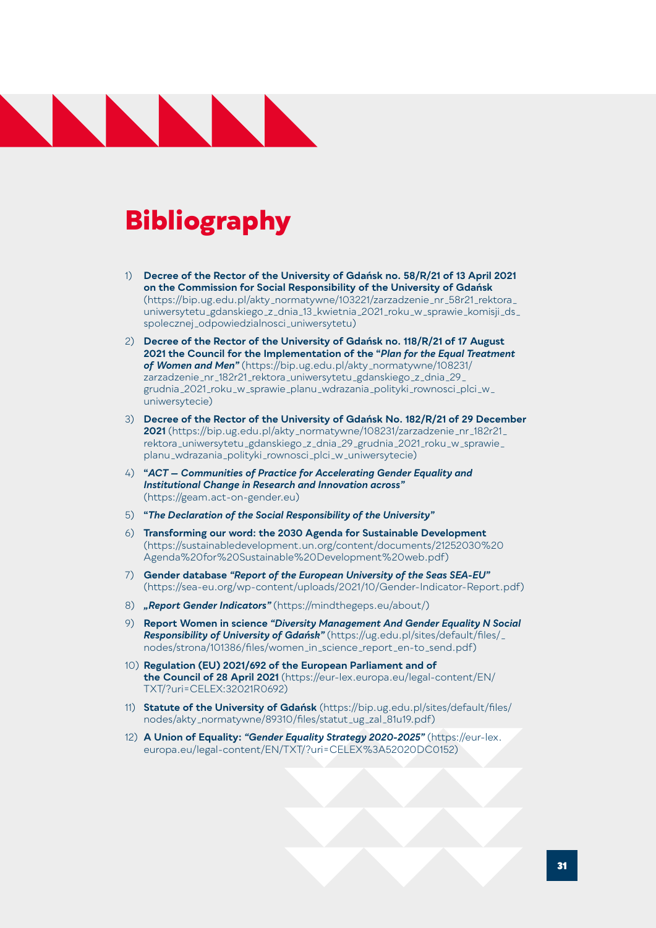

## **Bibliography**

- 1) **[Decree of the Rector of the University of Gdańsk no. 58/R/21 of 13 April 2021](https://bip.ug.edu.pl/akty_normatywne/103221/zarzadzenie_nr_58r21_rektora_uniwersytetu_gdanskiego_z_dnia_13_kwietnia_2021_roku_w_sprawie_komisji_ds_spolecznej_odpowiedzialnosci_uniwersytetu)  [on the Commission for Social Responsibility of the University of Gdańsk](https://bip.ug.edu.pl/akty_normatywne/103221/zarzadzenie_nr_58r21_rektora_uniwersytetu_gdanskiego_z_dnia_13_kwietnia_2021_roku_w_sprawie_komisji_ds_spolecznej_odpowiedzialnosci_uniwersytetu)**  (https://bip.ug.edu.pl/akty\_normatywne/103221/zarzadzenie\_nr\_58r21\_rektora\_ uniwersytetu\_gdanskiego\_z\_dnia\_13\_kwietnia\_2021\_roku\_w\_sprawie\_komisji\_ds\_ spolecznej\_odpowiedzialnosci\_uniwersytetu)
- 2) **[Decree of the Rector of the University of Gdańsk no. 118/R/21 of 17 August](https://bip.ug.edu.pl/akty_normatywne/108231/zarzadzenie_nr_182r21_rektora_uniwersytetu_gdanskiego_z_dnia_29_grudnia_2021_roku_w_sprawie_planu_wdrazania_polityki_rownosci_plci_w_uniwersytecie)  [2021 the Council for the Implementation of the "](https://bip.ug.edu.pl/akty_normatywne/108231/zarzadzenie_nr_182r21_rektora_uniwersytetu_gdanskiego_z_dnia_29_grudnia_2021_roku_w_sprawie_planu_wdrazania_polityki_rownosci_plci_w_uniwersytecie)***Plan for the Equal Treatment of [Women and Men](https://bip.ug.edu.pl/akty_normatywne/108231/zarzadzenie_nr_182r21_rektora_uniwersytetu_gdanskiego_z_dnia_29_grudnia_2021_roku_w_sprawie_planu_wdrazania_polityki_rownosci_plci_w_uniwersytecie)"* (https://bip.ug.edu.pl/akty\_normatywne/108231/ zarzadzenie\_nr\_182r21\_rektora\_uniwersytetu\_gdanskiego\_z\_dnia\_29\_ grudnia\_2021\_roku\_w\_sprawie\_planu\_wdrazania\_polityki\_rownosci\_plci\_w\_ uniwersytecie)
- 3) **[Decree of the Rector of the University of Gdańsk No. 182/R/21 of 29 December](https://bip.ug.edu.pl/akty_normatywne/108231/zarzadzenie_nr_182r21_rektora_uniwersytetu_gdanskiego_z_dnia_29_grudnia_2021_roku_w_sprawie_planu_wdrazania_polityki_rownosci_plci_w_uniwersytecie)  [2021](https://bip.ug.edu.pl/akty_normatywne/108231/zarzadzenie_nr_182r21_rektora_uniwersytetu_gdanskiego_z_dnia_29_grudnia_2021_roku_w_sprawie_planu_wdrazania_polityki_rownosci_plci_w_uniwersytecie)** (https://bip.ug.edu.pl/akty\_normatywne/108231/zarzadzenie\_nr\_182r21\_ rektora\_uniwersytetu\_gdanskiego\_z\_dnia\_29\_grudnia\_2021\_roku\_w\_sprawie\_ planu\_wdrazania\_polityki\_rownosci\_plci\_w\_uniwersytecie)
- 4) **"***[ACT Communities of Practice for Accelerating Gender Equality and](https://geam.act-on-gender.eu)  [Institutional Change in Research and Innovation across](https://geam.act-on-gender.eu)"*  (https://geam.act-on-gender.eu)
- 5) **"***The Declaration of the Social Responsibility of the University"*
- 6) **[Transforming our word: the 2030 Agenda for Sustainable Development](https://sustainabledevelopment.un.org/content/documents/21252030%20Agenda%20for%20Sustainable%20Development%20web.pdf)**  (https://sustainabledevelopment.un.org/content/documents/21252030%20 Agenda%20for%20Sustainable%20Development%20web.pdf)
- 7) **Gender database** *["Report of the European University of the Seas SEA-EU"](https://sea-eu.org/wp-content/uploads/2021/10/Gender-Indicator-Report.pdf)* (https://sea-eu.org/wp-content/uploads/2021/10/Gender-Indicator-Report.pdf)
- 8) *["Report Gender Indicators"](https://mindthegeps.eu/about/)* (https://mindthegeps.eu/about/)
- 9) **Report Women in science** *["Diversity Management And Gender Equality N Social](https://ug.edu.pl/sites/default/files/_nodes/strona/101386/files/women_in_science_report_en-to_send.pdf)  [Responsibility of University of Gdańsk"](https://ug.edu.pl/sites/default/files/_nodes/strona/101386/files/women_in_science_report_en-to_send.pdf)* (https://ug.edu.pl/sites/default/files/\_ nodes/strona/101386/files/women\_in\_science\_report\_en-to\_send.pdf)
- 10) **[Regulation \(EU\) 2021/692 of the European Parliament and of](https://eur-lex.europa.eu/legal-content/EN/TXT/?uri=CELEX:32021R0692)  [the Council of 28 April 2021](https://eur-lex.europa.eu/legal-content/EN/TXT/?uri=CELEX:32021R0692)** (https://eur-lex.europa.eu/legal-content/EN/ TXT/?uri=CELEX:32021R0692)
- 11) **[Statute of the University of Gdańsk](https://bip.ug.edu.pl/sites/default/files/nodes/akty_normatywne/89310/files/statut_ug_zal_81u19.pdf)** (https://bip.ug.edu.pl/sites/default/files/ nodes/akty\_normatywne/89310/files/statut\_ug\_zal\_81u19.pdf)
- 12) **A Union of Equality:** *["Gender Equality Strategy 2020-2025"](https://eur-lex.europa.eu/legal-content/EN/TXT/?uri=CELEX%3A52020DC0152)* (https://eur-lex. europa.eu/legal-content/EN/TXT/?uri=CELEX%3A52020DC0152)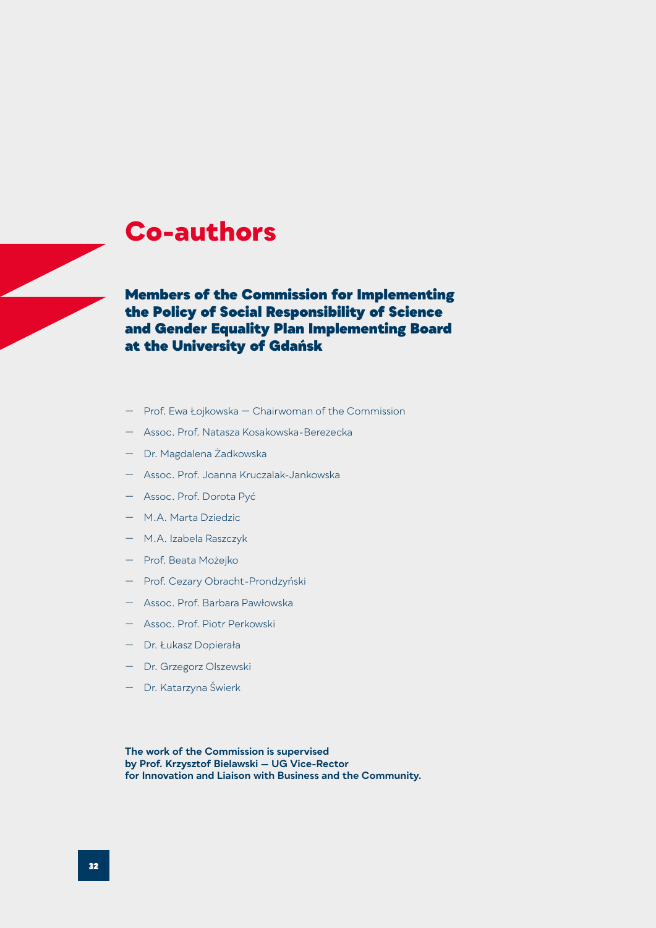### <span id="page-31-0"></span>**Co-authors**

Members of the Commission for Implementing the Policy of Social Responsibility of Science and Gender Equality Plan Implementing Board at the University of Gdańsk

- Prof. Ewa Łojkowska Chairwoman of the Commission
- Assoc. Prof. Natasza Kosakowska-Berezecka
- Dr. Magdalena Żadkowska
- Assoc. Prof. Joanna Kruczalak-Jankowska
- Assoc. Prof. Dorota Pyć
- M.A. Marta Dziedzic
- M.A. Izabela Raszczyk
- Prof. Beata Możejko
- Prof. Cezary Obracht-Prondzyński
- Assoc. Prof. Barbara Pawłowska
- Assoc. Prof. Piotr Perkowski
- Dr. Łukasz Dopierała
- Dr. Grzegorz Olszewski
- Dr. Katarzyna Świerk

**The work of the Commission is supervised by Prof. Krzysztof Bielawski — UG Vice-Rector for Innovation and Liaison with Business and the Community.**